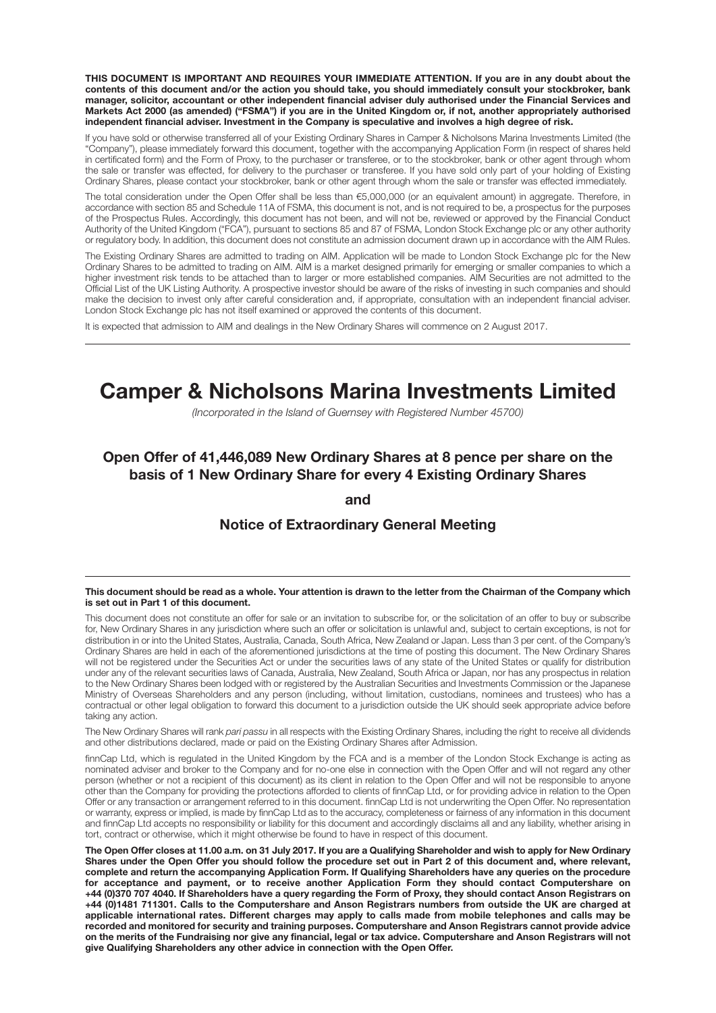**THIS DOCUMENT IS IMPORTANT AND REQUIRES YOUR IMMEDIATE ATTENTION. If you are in any doubt about the** contents of this document and/or the action you should take, you should immediately consult your stockbroker, bank **manager, solicitor, accountant or other independent financial adviser duly authorised under the Financial Services and** Markets Act 2000 (as amended) ("FSMA") if you are in the United Kingdom or, if not, another appropriately authorised **independent financial adviser. Investment in the Company is speculative and involves a high degree of risk.**

If you have sold or otherwise transferred all of your Existing Ordinary Shares in Camper & Nicholsons Marina Investments Limited (the "Company"), please immediately forward this document, together with the accompanying Application Form (in respect of shares held in certificated form) and the Form of Proxy, to the purchaser or transferee, or to the stockbroker, bank or other agent through whom the sale or transfer was effected, for delivery to the purchaser or transferee. If you have sold only part of your holding of Existing Ordinary Shares, please contact your stockbroker, bank or other agent through whom the sale or transfer was effected immediately.

The total consideration under the Open Offer shall be less than €5,000,000 (or an equivalent amount) in aggregate. Therefore, in accordance with section 85 and Schedule 11A of FSMA, this document is not, and is not required to be, a prospectus for the purposes of the Prospectus Rules. Accordingly, this document has not been, and will not be, reviewed or approved by the Financial Conduct Authority of the United Kingdom ("FCA"), pursuant to sections 85 and 87 of FSMA, London Stock Exchange plc or any other authority or regulatory body. In addition, this document does not constitute an admission document drawn up in accordance with the AIM Rules.

The Existing Ordinary Shares are admitted to trading on AIM. Application will be made to London Stock Exchange plc for the New Ordinary Shares to be admitted to trading on AIM. AIM is a market designed primarily for emerging or smaller companies to which a higher investment risk tends to be attached than to larger or more established companies. AIM Securities are not admitted to the Official List of the UK Listing Authority. A prospective investor should be aware of the risks of investing in such companies and should make the decision to invest only after careful consideration and, if appropriate, consultation with an independent financial adviser. London Stock Exchange plc has not itself examined or approved the contents of this document.

It is expected that admission to AIM and dealings in the New Ordinary Shares will commence on 2 August 2017.

# **Camper & Nicholsons Marina Investments Limited**

*(Incorporated in the Island of Guernsey with Registered Number 45700)*

## **Open Offer of 41,446,089 New Ordinary Shares at 8 pence per share on the basis of 1 New Ordinary Share for every 4 Existing Ordinary Shares**

**and**

#### **Notice of Extraordinary General Meeting**

#### This document should be read as a whole. Your attention is drawn to the letter from the Chairman of the Company which **is set out in Part 1 of this document.**

This document does not constitute an offer for sale or an invitation to subscribe for, or the solicitation of an offer to buy or subscribe for, New Ordinary Shares in any jurisdiction where such an offer or solicitation is unlawful and, subject to certain exceptions, is not for distribution in or into the United States, Australia, Canada, South Africa, New Zealand or Japan. Less than 3 per cent. of the Company's Ordinary Shares are held in each of the aforementioned jurisdictions at the time of posting this document. The New Ordinary Shares will not be registered under the Securities Act or under the securities laws of any state of the United States or qualify for distribution under any of the relevant securities laws of Canada, Australia, New Zealand, South Africa or Japan, nor has any prospectus in relation to the New Ordinary Shares been lodged with or registered by the Australian Securities and Investments Commission or the Japanese Ministry of Overseas Shareholders and any person (including, without limitation, custodians, nominees and trustees) who has a contractual or other legal obligation to forward this document to a jurisdiction outside the UK should seek appropriate advice before taking any action.

The New Ordinary Shares will rank *pari passu* in all respects with the Existing Ordinary Shares, including the right to receive all dividends and other distributions declared, made or paid on the Existing Ordinary Shares after Admission.

finnCap Ltd, which is regulated in the United Kingdom by the FCA and is a member of the London Stock Exchange is acting as nominated adviser and broker to the Company and for no-one else in connection with the Open Offer and will not regard any other person (whether or not a recipient of this document) as its client in relation to the Open Offer and will not be responsible to anyone other than the Company for providing the protections afforded to clients of finnCap Ltd, or for providing advice in relation to the Open Offer or any transaction or arrangement referred to in this document. finnCap Ltd is not underwriting the Open Offer. No representation or warranty, express or implied, is made by finnCap Ltd as to the accuracy, completeness or fairness of any information in this document and finnCap Ltd accepts no responsibility or liability for this document and accordingly disclaims all and any liability, whether arising in tort, contract or otherwise, which it might otherwise be found to have in respect of this document.

The Open Offer closes at 11.00 a.m. on 31 July 2017. If you are a Qualifying Shareholder and wish to apply for New Ordinary Shares under the Open Offer you should follow the procedure set out in Part 2 of this document and, where relevant, complete and return the accompanying Application Form. If Qualifying Shareholders have any queries on the procedure **for acceptance and payment, or to receive another Application Form they should contact Computershare on** +44 (0)370 707 4040. If Shareholders have a query regarding the Form of Proxy, they should contact Anson Registrars on +44 (0)1481 711301. Calls to the Computershare and Anson Registrars numbers from outside the UK are charged at applicable international rates. Different charges may apply to calls made from mobile telephones and calls may be **recorded and monitored for security and training purposes. Computershare and Anson Registrars cannot provide advice** on the merits of the Fundraising nor give any financial, legal or tax advice. Computershare and Anson Registrars will not **give Qualifying Shareholders any other advice in connection with the Open Offer.**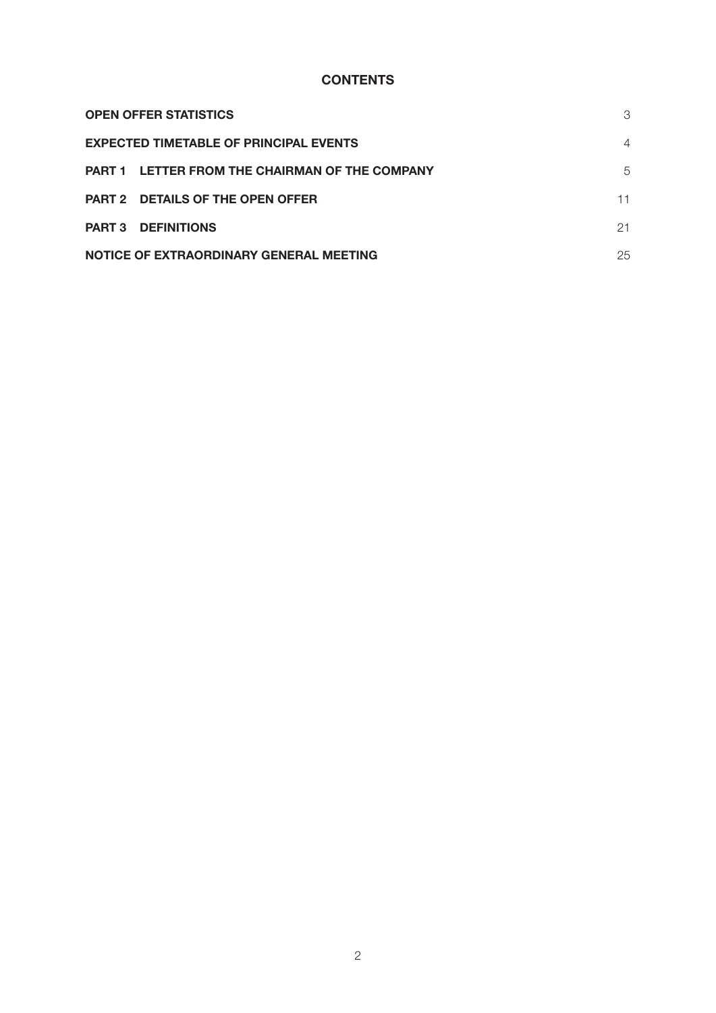# **CONTENTS**

| <b>OPEN OFFER STATISTICS</b>                   | 3  |
|------------------------------------------------|----|
| <b>EXPECTED TIMETABLE OF PRINCIPAL EVENTS</b>  |    |
| PART 1 LETTER FROM THE CHAIRMAN OF THE COMPANY | 5  |
| <b>PART 2 DETAILS OF THE OPEN OFFER</b>        | 11 |
| <b>PART 3 DEFINITIONS</b>                      | 21 |
| NOTICE OF EXTRAORDINARY GENERAL MEETING        | 25 |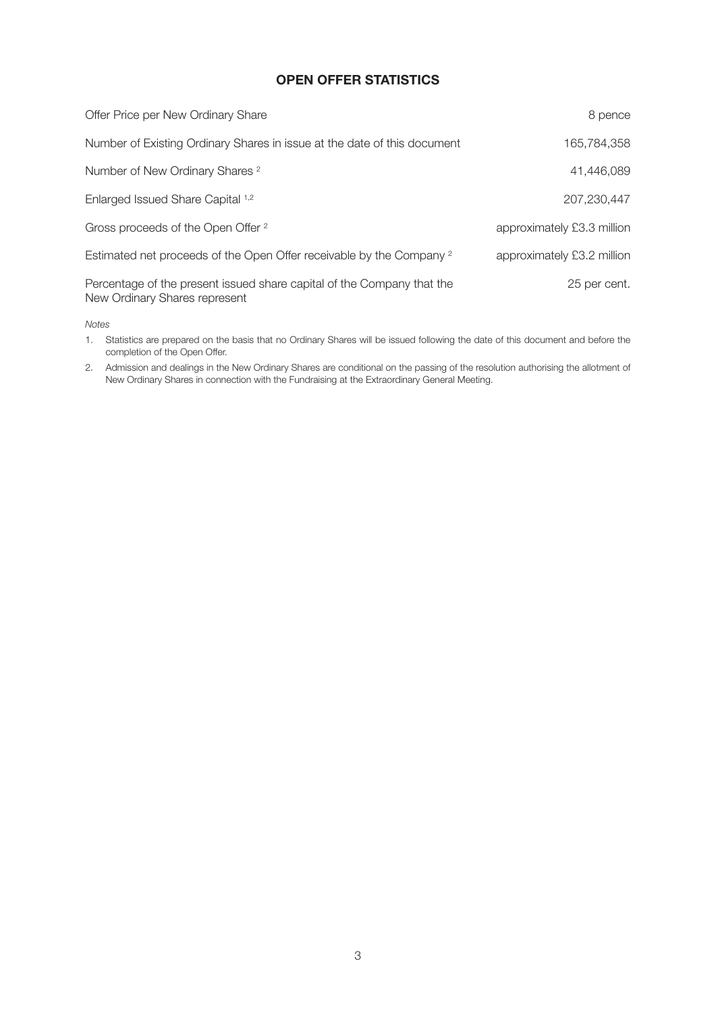## **OPEN OFFER STATISTICS**

| Offer Price per New Ordinary Share                                                                      | 8 pence                    |
|---------------------------------------------------------------------------------------------------------|----------------------------|
| Number of Existing Ordinary Shares in issue at the date of this document                                | 165,784,358                |
| Number of New Ordinary Shares <sup>2</sup>                                                              | 41,446,089                 |
| Enlarged Issued Share Capital 1,2                                                                       | 207,230,447                |
| Gross proceeds of the Open Offer 2                                                                      | approximately £3.3 million |
| Estimated net proceeds of the Open Offer receivable by the Company <sup>2</sup>                         | approximately £3.2 million |
| Percentage of the present issued share capital of the Company that the<br>New Ordinary Shares represent | 25 per cent.               |

*Notes*

1. Statistics are prepared on the basis that no Ordinary Shares will be issued following the date of this document and before the completion of the Open Offer.

2. Admission and dealings in the New Ordinary Shares are conditional on the passing of the resolution authorising the allotment of New Ordinary Shares in connection with the Fundraising at the Extraordinary General Meeting.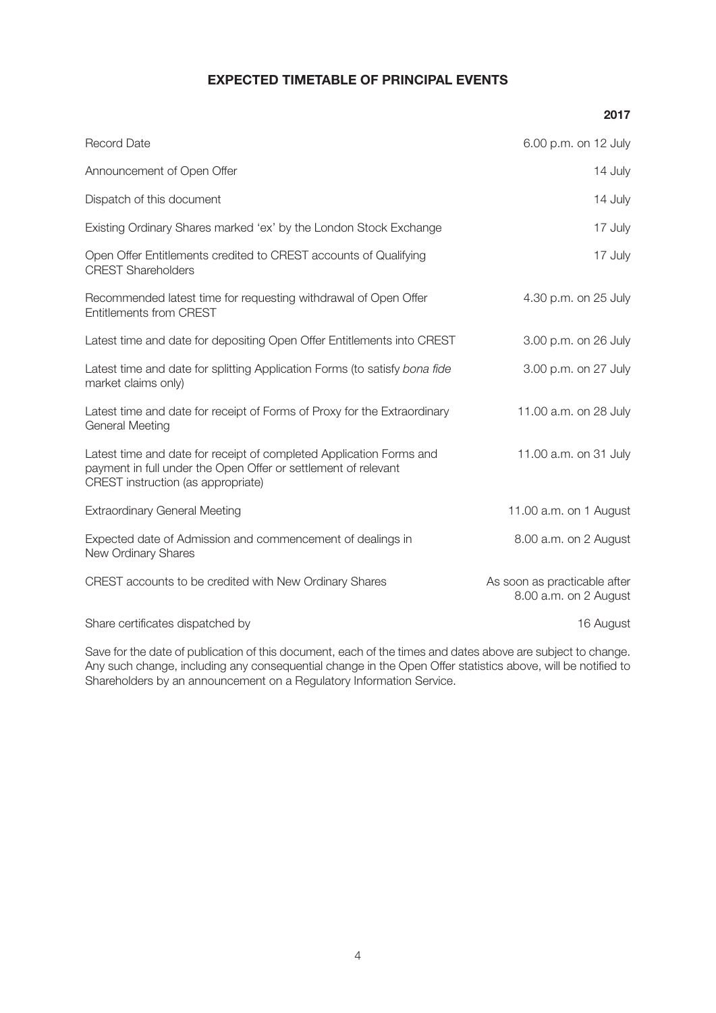## **EXPECTED TIMETABLE OF PRINCIPAL EVENTS**

**2017**

| <b>Record Date</b>                                                                                                                                                          | 6.00 p.m. on 12 July                                  |
|-----------------------------------------------------------------------------------------------------------------------------------------------------------------------------|-------------------------------------------------------|
| Announcement of Open Offer                                                                                                                                                  | 14 July                                               |
| Dispatch of this document                                                                                                                                                   | 14 July                                               |
| Existing Ordinary Shares marked 'ex' by the London Stock Exchange                                                                                                           | 17 July                                               |
| Open Offer Entitlements credited to CREST accounts of Qualifying<br><b>CREST Shareholders</b>                                                                               | 17 July                                               |
| Recommended latest time for requesting withdrawal of Open Offer<br><b>Entitlements from CREST</b>                                                                           | 4.30 p.m. on 25 July                                  |
| Latest time and date for depositing Open Offer Entitlements into CREST                                                                                                      | 3.00 p.m. on 26 July                                  |
| Latest time and date for splitting Application Forms (to satisfy bona fide<br>market claims only)                                                                           | 3.00 p.m. on 27 July                                  |
| Latest time and date for receipt of Forms of Proxy for the Extraordinary<br><b>General Meeting</b>                                                                          | 11.00 a.m. on 28 July                                 |
| Latest time and date for receipt of completed Application Forms and<br>payment in full under the Open Offer or settlement of relevant<br>CREST instruction (as appropriate) | 11.00 a.m. on 31 July                                 |
| <b>Extraordinary General Meeting</b>                                                                                                                                        | 11.00 a.m. on 1 August                                |
| Expected date of Admission and commencement of dealings in<br>New Ordinary Shares                                                                                           | 8.00 a.m. on 2 August                                 |
| CREST accounts to be credited with New Ordinary Shares                                                                                                                      | As soon as practicable after<br>8.00 a.m. on 2 August |
| Share certificates dispatched by                                                                                                                                            | 16 August                                             |
|                                                                                                                                                                             |                                                       |

Save for the date of publication of this document, each of the times and dates above are subject to change. Any such change, including any consequential change in the Open Offer statistics above, will be notified to Shareholders by an announcement on a Regulatory Information Service.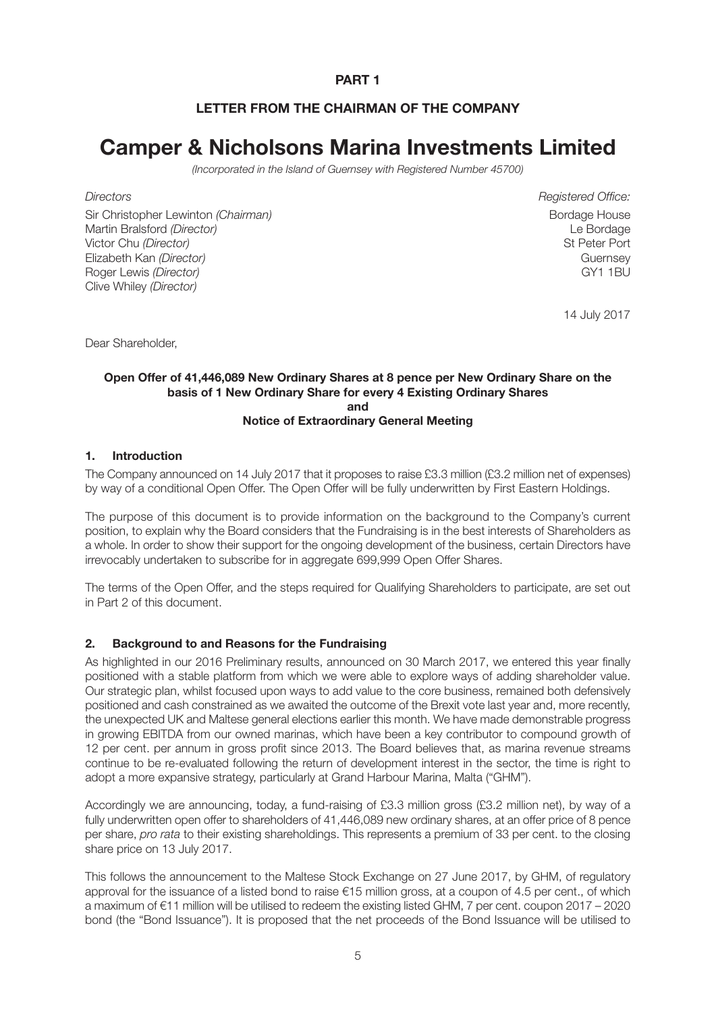## **PART 1**

## **LETTER FROM THE CHAIRMAN OF THE COMPANY**

# **Camper & Nicholsons Marina Investments Limited**

*(Incorporated in the Island of Guernsey with Registered Number 45700)*

Sir Christopher Lewinton *(Chairman)* Bordage House Bordage House Bordage House Martin Bralsford *(Director)* Le Bordage Victor Chu *(Director)* St Peter Port Elizabeth Kan *(Director)* Guernsey Roger Lewis *(Director)* GY1 1BU Clive Whiley *(Director)*

*Directors Registered Office:*

14 July 2017

Dear Shareholder,

#### **Open Offer of 41,446,089 New Ordinary Shares at 8 pence per New Ordinary Share on the basis of 1 New Ordinary Share for every 4 Existing Ordinary Shares and Notice of Extraordinary General Meeting**

#### **1. Introduction**

The Company announced on 14 July 2017 that it proposes to raise £3.3 million (£3.2 million net of expenses) by way of a conditional Open Offer. The Open Offer will be fully underwritten by First Eastern Holdings.

The purpose of this document is to provide information on the background to the Company's current position, to explain why the Board considers that the Fundraising is in the best interests of Shareholders as a whole. In order to show their support for the ongoing development of the business, certain Directors have irrevocably undertaken to subscribe for in aggregate 699,999 Open Offer Shares.

The terms of the Open Offer, and the steps required for Qualifying Shareholders to participate, are set out in Part 2 of this document.

#### **2. Background to and Reasons for the Fundraising**

As highlighted in our 2016 Preliminary results, announced on 30 March 2017, we entered this year finally positioned with a stable platform from which we were able to explore ways of adding shareholder value. Our strategic plan, whilst focused upon ways to add value to the core business, remained both defensively positioned and cash constrained as we awaited the outcome of the Brexit vote last year and, more recently, the unexpected UK and Maltese general elections earlier this month. We have made demonstrable progress in growing EBITDA from our owned marinas, which have been a key contributor to compound growth of 12 per cent. per annum in gross profit since 2013. The Board believes that, as marina revenue streams continue to be re-evaluated following the return of development interest in the sector, the time is right to adopt a more expansive strategy, particularly at Grand Harbour Marina, Malta ("GHM").

Accordingly we are announcing, today, a fund-raising of £3.3 million gross (£3.2 million net), by way of a fully underwritten open offer to shareholders of 41,446,089 new ordinary shares, at an offer price of 8 pence per share, *pro rata* to their existing shareholdings. This represents a premium of 33 per cent. to the closing share price on 13 July 2017.

This follows the announcement to the Maltese Stock Exchange on 27 June 2017, by GHM, of regulatory approval for the issuance of a listed bond to raise €15 million gross, at a coupon of 4.5 per cent., of which a maximum of €11 million will be utilised to redeem the existing listed GHM, 7 per cent. coupon 2017 – 2020 bond (the "Bond Issuance"). It is proposed that the net proceeds of the Bond Issuance will be utilised to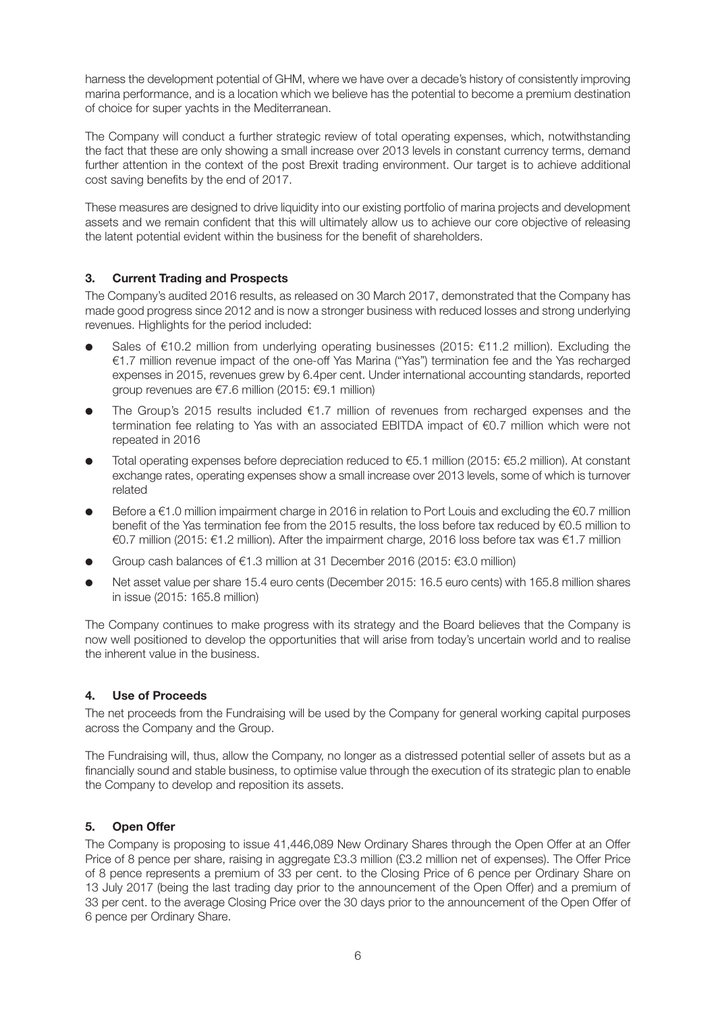harness the development potential of GHM, where we have over a decade's history of consistently improving marina performance, and is a location which we believe has the potential to become a premium destination of choice for super yachts in the Mediterranean.

The Company will conduct a further strategic review of total operating expenses, which, notwithstanding the fact that these are only showing a small increase over 2013 levels in constant currency terms, demand further attention in the context of the post Brexit trading environment. Our target is to achieve additional cost saving benefits by the end of 2017.

These measures are designed to drive liquidity into our existing portfolio of marina projects and development assets and we remain confident that this will ultimately allow us to achieve our core objective of releasing the latent potential evident within the business for the benefit of shareholders.

## **3. Current Trading and Prospects**

The Company's audited 2016 results, as released on 30 March 2017, demonstrated that the Company has made good progress since 2012 and is now a stronger business with reduced losses and strong underlying revenues. Highlights for the period included:

- Sales of €10.2 million from underlying operating businesses (2015: €11.2 million). Excluding the €1.7 million revenue impact of the one-off Yas Marina ("Yas") termination fee and the Yas recharged expenses in 2015, revenues grew by 6.4per cent. Under international accounting standards, reported group revenues are €7.6 million (2015: €9.1 million)
- **●** The Group's 2015 results included €1.7 million of revenues from recharged expenses and the termination fee relating to Yas with an associated EBITDA impact of €0.7 million which were not repeated in 2016
- Total operating expenses before depreciation reduced to €5.1 million (2015: €5.2 million). At constant exchange rates, operating expenses show a small increase over 2013 levels, some of which is turnover related
- Before a €1.0 million impairment charge in 2016 in relation to Port Louis and excluding the €0.7 million benefit of the Yas termination fee from the 2015 results, the loss before tax reduced by €0.5 million to €0.7 million (2015: €1.2 million). After the impairment charge, 2016 loss before tax was €1.7 million
- **●** Group cash balances of €1.3 million at 31 December 2016 (2015: €3.0 million)
- Net asset value per share 15.4 euro cents (December 2015: 16.5 euro cents) with 165.8 million shares in issue (2015: 165.8 million)

The Company continues to make progress with its strategy and the Board believes that the Company is now well positioned to develop the opportunities that will arise from today's uncertain world and to realise the inherent value in the business.

## **4. Use of Proceeds**

The net proceeds from the Fundraising will be used by the Company for general working capital purposes across the Company and the Group.

The Fundraising will, thus, allow the Company, no longer as a distressed potential seller of assets but as a financially sound and stable business, to optimise value through the execution of its strategic plan to enable the Company to develop and reposition its assets.

#### **5. Open Offer**

The Company is proposing to issue 41,446,089 New Ordinary Shares through the Open Offer at an Offer Price of 8 pence per share, raising in aggregate £3.3 million (£3.2 million net of expenses). The Offer Price of 8 pence represents a premium of 33 per cent. to the Closing Price of 6 pence per Ordinary Share on 13 July 2017 (being the last trading day prior to the announcement of the Open Offer) and a premium of 33 per cent. to the average Closing Price over the 30 days prior to the announcement of the Open Offer of 6 pence per Ordinary Share.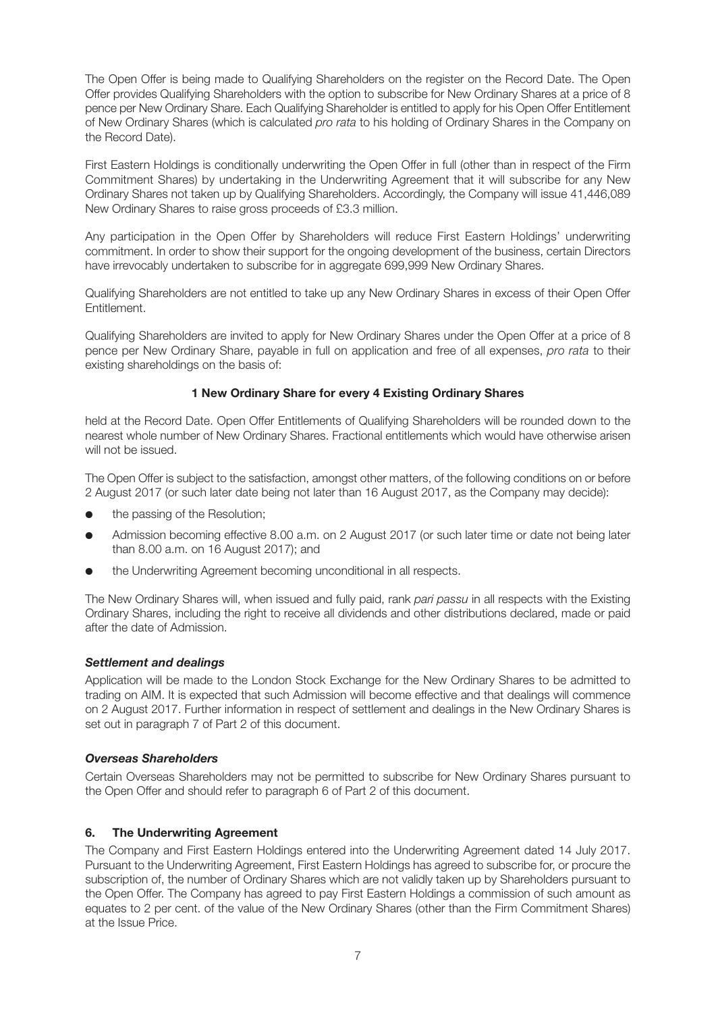The Open Offer is being made to Qualifying Shareholders on the register on the Record Date. The Open Offer provides Qualifying Shareholders with the option to subscribe for New Ordinary Shares at a price of 8 pence per New Ordinary Share. Each Qualifying Shareholder is entitled to apply for his Open Offer Entitlement of New Ordinary Shares (which is calculated *pro rata* to his holding of Ordinary Shares in the Company on the Record Date).

First Eastern Holdings is conditionally underwriting the Open Offer in full (other than in respect of the Firm Commitment Shares) by undertaking in the Underwriting Agreement that it will subscribe for any New Ordinary Shares not taken up by Qualifying Shareholders. Accordingly, the Company will issue 41,446,089 New Ordinary Shares to raise gross proceeds of £3.3 million.

Any participation in the Open Offer by Shareholders will reduce First Eastern Holdings' underwriting commitment. In order to show their support for the ongoing development of the business, certain Directors have irrevocably undertaken to subscribe for in aggregate 699,999 New Ordinary Shares.

Qualifying Shareholders are not entitled to take up any New Ordinary Shares in excess of their Open Offer Entitlement.

Qualifying Shareholders are invited to apply for New Ordinary Shares under the Open Offer at a price of 8 pence per New Ordinary Share, payable in full on application and free of all expenses, *pro rata* to their existing shareholdings on the basis of:

#### **1 New Ordinary Share for every 4 Existing Ordinary Shares**

held at the Record Date. Open Offer Entitlements of Qualifying Shareholders will be rounded down to the nearest whole number of New Ordinary Shares. Fractional entitlements which would have otherwise arisen will not be issued.

The Open Offer is subject to the satisfaction, amongst other matters, of the following conditions on or before 2 August 2017 (or such later date being not later than 16 August 2017, as the Company may decide):

- the passing of the Resolution:
- **●** Admission becoming effective 8.00 a.m. on 2 August 2017 (or such later time or date not being later than 8.00 a.m. on 16 August 2017); and
- **●** the Underwriting Agreement becoming unconditional in all respects.

The New Ordinary Shares will, when issued and fully paid, rank *pari passu* in all respects with the Existing Ordinary Shares, including the right to receive all dividends and other distributions declared, made or paid after the date of Admission.

#### *Settlement and dealings*

Application will be made to the London Stock Exchange for the New Ordinary Shares to be admitted to trading on AIM. It is expected that such Admission will become effective and that dealings will commence on 2 August 2017. Further information in respect of settlement and dealings in the New Ordinary Shares is set out in paragraph 7 of Part 2 of this document.

#### *Overseas Shareholders*

Certain Overseas Shareholders may not be permitted to subscribe for New Ordinary Shares pursuant to the Open Offer and should refer to paragraph 6 of Part 2 of this document.

#### **6. The Underwriting Agreement**

The Company and First Eastern Holdings entered into the Underwriting Agreement dated 14 July 2017. Pursuant to the Underwriting Agreement, First Eastern Holdings has agreed to subscribe for, or procure the subscription of, the number of Ordinary Shares which are not validly taken up by Shareholders pursuant to the Open Offer. The Company has agreed to pay First Eastern Holdings a commission of such amount as equates to 2 per cent. of the value of the New Ordinary Shares (other than the Firm Commitment Shares) at the Issue Price.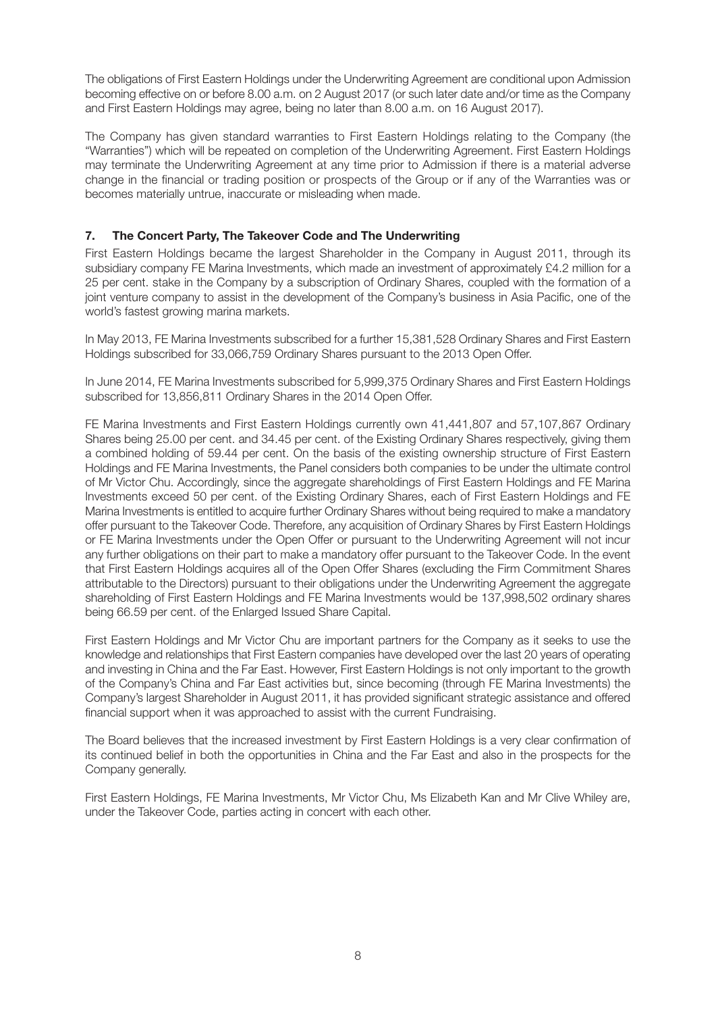The obligations of First Eastern Holdings under the Underwriting Agreement are conditional upon Admission becoming effective on or before 8.00 a.m. on 2 August 2017 (or such later date and/or time as the Company and First Eastern Holdings may agree, being no later than 8.00 a.m. on 16 August 2017).

The Company has given standard warranties to First Eastern Holdings relating to the Company (the "Warranties") which will be repeated on completion of the Underwriting Agreement. First Eastern Holdings may terminate the Underwriting Agreement at any time prior to Admission if there is a material adverse change in the financial or trading position or prospects of the Group or if any of the Warranties was or becomes materially untrue, inaccurate or misleading when made.

## **7. The Concert Party, The Takeover Code and The Underwriting**

First Eastern Holdings became the largest Shareholder in the Company in August 2011, through its subsidiary company FE Marina Investments, which made an investment of approximately £4.2 million for a 25 per cent. stake in the Company by a subscription of Ordinary Shares, coupled with the formation of a joint venture company to assist in the development of the Company's business in Asia Pacific, one of the world's fastest growing marina markets.

In May 2013, FE Marina Investments subscribed for a further 15,381,528 Ordinary Shares and First Eastern Holdings subscribed for 33,066,759 Ordinary Shares pursuant to the 2013 Open Offer.

In June 2014, FE Marina Investments subscribed for 5,999,375 Ordinary Shares and First Eastern Holdings subscribed for 13,856,811 Ordinary Shares in the 2014 Open Offer.

FE Marina Investments and First Eastern Holdings currently own 41,441,807 and 57,107,867 Ordinary Shares being 25.00 per cent. and 34.45 per cent. of the Existing Ordinary Shares respectively, giving them a combined holding of 59.44 per cent. On the basis of the existing ownership structure of First Eastern Holdings and FE Marina Investments, the Panel considers both companies to be under the ultimate control of Mr Victor Chu. Accordingly, since the aggregate shareholdings of First Eastern Holdings and FE Marina Investments exceed 50 per cent. of the Existing Ordinary Shares, each of First Eastern Holdings and FE Marina Investments is entitled to acquire further Ordinary Shares without being required to make a mandatory offer pursuant to the Takeover Code. Therefore, any acquisition of Ordinary Shares by First Eastern Holdings or FE Marina Investments under the Open Offer or pursuant to the Underwriting Agreement will not incur any further obligations on their part to make a mandatory offer pursuant to the Takeover Code. In the event that First Eastern Holdings acquires all of the Open Offer Shares (excluding the Firm Commitment Shares attributable to the Directors) pursuant to their obligations under the Underwriting Agreement the aggregate shareholding of First Eastern Holdings and FE Marina Investments would be 137,998,502 ordinary shares being 66.59 per cent. of the Enlarged Issued Share Capital.

First Eastern Holdings and Mr Victor Chu are important partners for the Company as it seeks to use the knowledge and relationships that First Eastern companies have developed over the last 20 years of operating and investing in China and the Far East. However, First Eastern Holdings is not only important to the growth of the Company's China and Far East activities but, since becoming (through FE Marina Investments) the Company's largest Shareholder in August 2011, it has provided significant strategic assistance and offered financial support when it was approached to assist with the current Fundraising.

The Board believes that the increased investment by First Eastern Holdings is a very clear confirmation of its continued belief in both the opportunities in China and the Far East and also in the prospects for the Company generally.

First Eastern Holdings, FE Marina Investments, Mr Victor Chu, Ms Elizabeth Kan and Mr Clive Whiley are, under the Takeover Code, parties acting in concert with each other.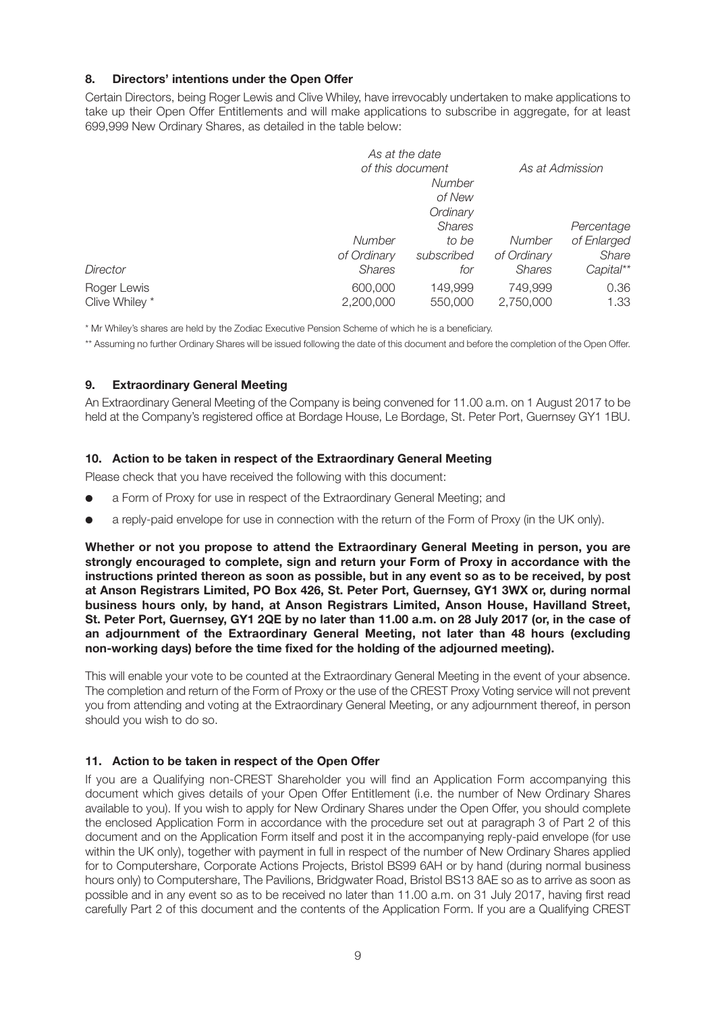## **8. Directors' intentions under the Open Offer**

Certain Directors, being Roger Lewis and Clive Whiley, have irrevocably undertaken to make applications to take up their Open Offer Entitlements and will make applications to subscribe in aggregate, for at least 699,999 New Ordinary Shares, as detailed in the table below:

|                | As at the date   |               |               |                 |
|----------------|------------------|---------------|---------------|-----------------|
|                | of this document |               |               | As at Admission |
|                |                  | <b>Number</b> |               |                 |
|                |                  | of New        |               |                 |
|                |                  | Ordinary      |               |                 |
|                |                  | <b>Shares</b> |               | Percentage      |
|                | Number           | to be         | Number        | of Enlarged     |
|                | of Ordinary      | subscribed    | of Ordinary   | Share           |
| Director       | <b>Shares</b>    | for           | <b>Shares</b> | Capital**       |
| Roger Lewis    | 600,000          | 149,999       | 749,999       | 0.36            |
| Clive Whiley * | 2,200,000        | 550,000       | 2,750,000     | 1.33            |

\* Mr Whiley's shares are held by the Zodiac Executive Pension Scheme of which he is a beneficiary.

\*\* Assuming no further Ordinary Shares will be issued following the date of this document and before the completion of the Open Offer.

#### **9. Extraordinary General Meeting**

An Extraordinary General Meeting of the Company is being convened for 11.00 a.m. on 1 August 2017 to be held at the Company's registered office at Bordage House, Le Bordage, St. Peter Port, Guernsey GY1 1BU.

#### **10. Action to be taken in respect of the Extraordinary General Meeting**

Please check that you have received the following with this document:

- a Form of Proxy for use in respect of the Extraordinary General Meeting; and
- **●** a reply-paid envelope for use in connection with the return of the Form of Proxy (in the UK only).

**Whether or not you propose to attend the Extraordinary General Meeting in person, you are strongly encouraged to complete, sign and return your Form of Proxy in accordance with the instructions printed thereon as soon as possible, but in any event so as to be received, by post at Anson Registrars Limited, PO Box 426, St. Peter Port, Guernsey, GY1 3WX or, during normal business hours only, by hand, at Anson Registrars Limited, Anson House, Havilland Street,** St. Peter Port, Guernsey, GY1 2QE by no later than 11.00 a.m. on 28 July 2017 (or, in the case of **an adjournment of the Extraordinary General Meeting, not later than 48 hours (excluding non-working days) before the time fixed for the holding of the adjourned meeting).**

This will enable your vote to be counted at the Extraordinary General Meeting in the event of your absence. The completion and return of the Form of Proxy or the use of the CREST Proxy Voting service will not prevent you from attending and voting at the Extraordinary General Meeting, or any adjournment thereof, in person should you wish to do so.

#### **11. Action to be taken in respect of the Open Offer**

If you are a Qualifying non-CREST Shareholder you will find an Application Form accompanying this document which gives details of your Open Offer Entitlement (i.e. the number of New Ordinary Shares available to you). If you wish to apply for New Ordinary Shares under the Open Offer, you should complete the enclosed Application Form in accordance with the procedure set out at paragraph 3 of Part 2 of this document and on the Application Form itself and post it in the accompanying reply-paid envelope (for use within the UK only), together with payment in full in respect of the number of New Ordinary Shares applied for to Computershare, Corporate Actions Projects, Bristol BS99 6AH or by hand (during normal business hours only) to Computershare, The Pavilions, Bridgwater Road, Bristol BS13 8AE so as to arrive as soon as possible and in any event so as to be received no later than 11.00 a.m. on 31 July 2017, having first read carefully Part 2 of this document and the contents of the Application Form. If you are a Qualifying CREST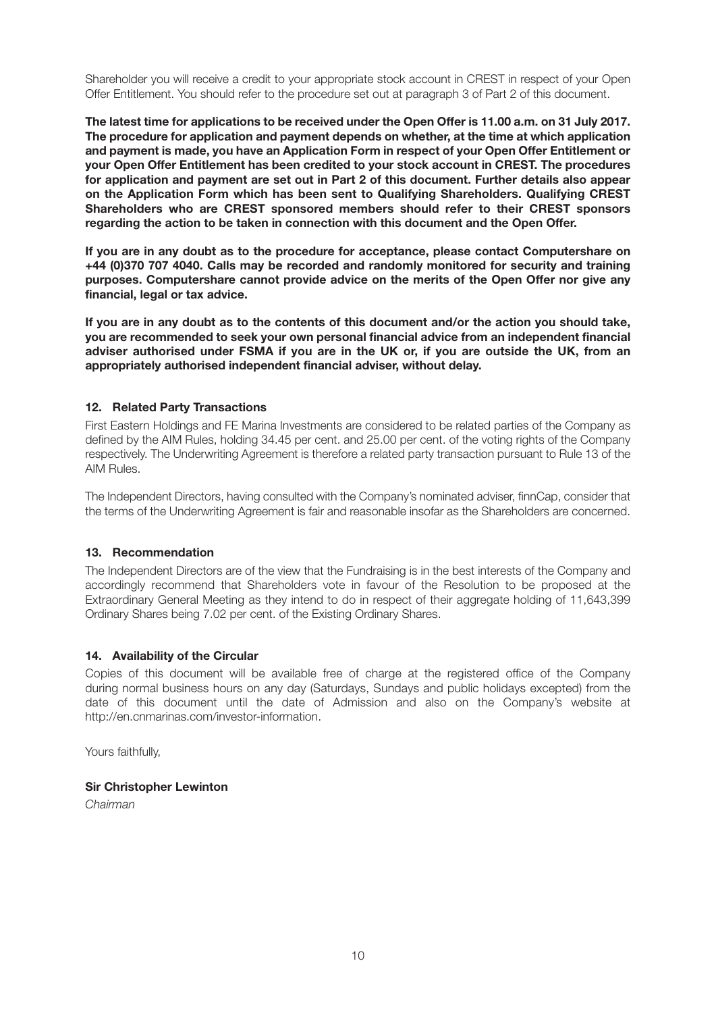Shareholder you will receive a credit to your appropriate stock account in CREST in respect of your Open Offer Entitlement. You should refer to the procedure set out at paragraph 3 of Part 2 of this document.

The latest time for applications to be received under the Open Offer is 11.00 a.m. on 31 July 2017. **The procedure for application and payment depends on whether, at the time at which application and payment is made, you have an Application Form in respect of your Open Offer Entitlement or your Open Offer Entitlement has been credited to your stock account in CREST. The procedures for application and payment are set out in Part 2 of this document. Further details also appear on the Application Form which has been sent to Qualifying Shareholders. Qualifying CREST Shareholders who are CREST sponsored members should refer to their CREST sponsors regarding the action to be taken in connection with this document and the Open Offer.**

**If you are in any doubt as to the procedure for acceptance, please contact Computershare on +44 (0)370 707 4040. Calls may be recorded and randomly monitored for security and training purposes. Computershare cannot provide advice on the merits of the Open Offer nor give any financial, legal or tax advice.**

If you are in any doubt as to the contents of this document and/or the action you should take, **you are recommended to seek your own personal financial advice from an independent financial adviser authorised under FSMA if you are in the UK or, if you are outside the UK, from an appropriately authorised independent financial adviser, without delay.**

#### **12. Related Party Transactions**

First Eastern Holdings and FE Marina Investments are considered to be related parties of the Company as defined by the AIM Rules, holding 34.45 per cent. and 25.00 per cent. of the voting rights of the Company respectively. The Underwriting Agreement is therefore a related party transaction pursuant to Rule 13 of the AIM Rules.

The Independent Directors, having consulted with the Company's nominated adviser, finnCap, consider that the terms of the Underwriting Agreement is fair and reasonable insofar as the Shareholders are concerned.

#### **13. Recommendation**

The Independent Directors are of the view that the Fundraising is in the best interests of the Company and accordingly recommend that Shareholders vote in favour of the Resolution to be proposed at the Extraordinary General Meeting as they intend to do in respect of their aggregate holding of 11,643,399 Ordinary Shares being 7.02 per cent. of the Existing Ordinary Shares.

#### **14. Availability of the Circular**

Copies of this document will be available free of charge at the registered office of the Company during normal business hours on any day (Saturdays, Sundays and public holidays excepted) from the date of this document until the date of Admission and also on the Company's website at http://en.cnmarinas.com/investor-information.

Yours faithfully,

#### **Sir Christopher Lewinton**

*Chairman*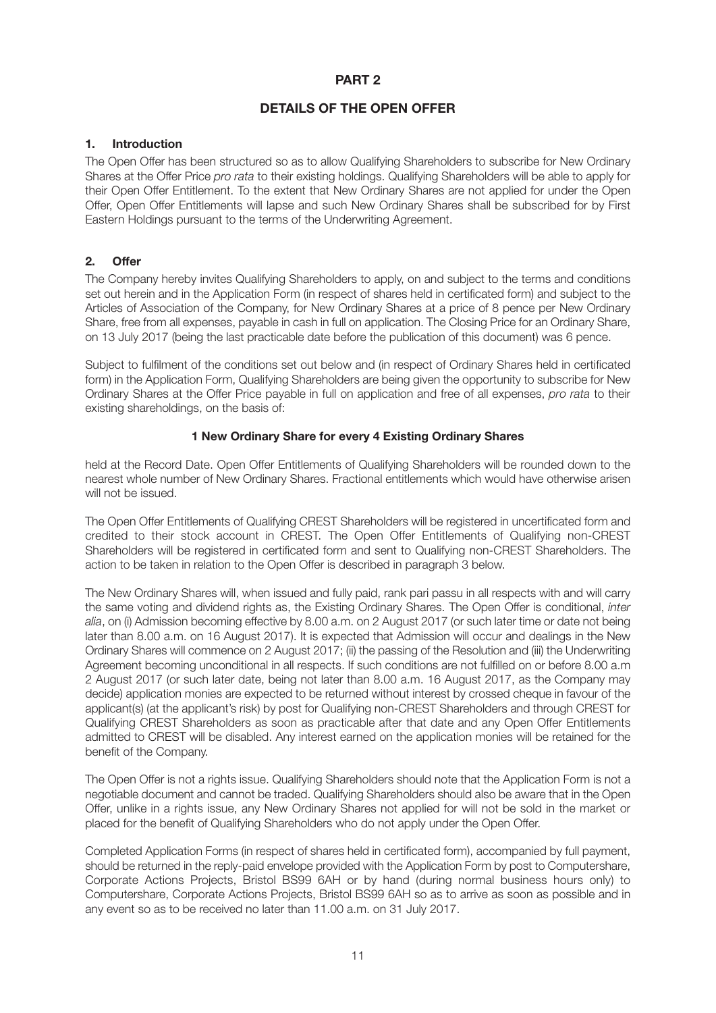## **PART 2**

## **DETAILS OF THE OPEN OFFER**

#### **1. Introduction**

The Open Offer has been structured so as to allow Qualifying Shareholders to subscribe for New Ordinary Shares at the Offer Price *pro rata* to their existing holdings. Qualifying Shareholders will be able to apply for their Open Offer Entitlement. To the extent that New Ordinary Shares are not applied for under the Open Offer, Open Offer Entitlements will lapse and such New Ordinary Shares shall be subscribed for by First Eastern Holdings pursuant to the terms of the Underwriting Agreement.

#### **2. Offer**

The Company hereby invites Qualifying Shareholders to apply, on and subject to the terms and conditions set out herein and in the Application Form (in respect of shares held in certificated form) and subject to the Articles of Association of the Company, for New Ordinary Shares at a price of 8 pence per New Ordinary Share, free from all expenses, payable in cash in full on application. The Closing Price for an Ordinary Share, on 13 July 2017 (being the last practicable date before the publication of this document) was 6 pence.

Subject to fulfilment of the conditions set out below and (in respect of Ordinary Shares held in certificated form) in the Application Form, Qualifying Shareholders are being given the opportunity to subscribe for New Ordinary Shares at the Offer Price payable in full on application and free of all expenses, *pro rata* to their existing shareholdings, on the basis of:

#### **1 New Ordinary Share for every 4 Existing Ordinary Shares**

held at the Record Date. Open Offer Entitlements of Qualifying Shareholders will be rounded down to the nearest whole number of New Ordinary Shares. Fractional entitlements which would have otherwise arisen will not be issued.

The Open Offer Entitlements of Qualifying CREST Shareholders will be registered in uncertificated form and credited to their stock account in CREST. The Open Offer Entitlements of Qualifying non-CREST Shareholders will be registered in certificated form and sent to Qualifying non-CREST Shareholders. The action to be taken in relation to the Open Offer is described in paragraph 3 below.

The New Ordinary Shares will, when issued and fully paid, rank pari passu in all respects with and will carry the same voting and dividend rights as, the Existing Ordinary Shares. The Open Offer is conditional, *inter alia*, on (i) Admission becoming effective by 8.00 a.m. on 2 August 2017 (or such later time or date not being later than 8.00 a.m. on 16 August 2017). It is expected that Admission will occur and dealings in the New Ordinary Shares will commence on 2 August 2017; (ii) the passing of the Resolution and (iii) the Underwriting Agreement becoming unconditional in all respects. If such conditions are not fulfilled on or before 8.00 a.m 2 August 2017 (or such later date, being not later than 8.00 a.m. 16 August 2017, as the Company may decide) application monies are expected to be returned without interest by crossed cheque in favour of the applicant(s) (at the applicant's risk) by post for Qualifying non-CREST Shareholders and through CREST for Qualifying CREST Shareholders as soon as practicable after that date and any Open Offer Entitlements admitted to CREST will be disabled. Any interest earned on the application monies will be retained for the benefit of the Company.

The Open Offer is not a rights issue. Qualifying Shareholders should note that the Application Form is not a negotiable document and cannot be traded. Qualifying Shareholders should also be aware that in the Open Offer, unlike in a rights issue, any New Ordinary Shares not applied for will not be sold in the market or placed for the benefit of Qualifying Shareholders who do not apply under the Open Offer.

Completed Application Forms (in respect of shares held in certificated form), accompanied by full payment, should be returned in the reply-paid envelope provided with the Application Form by post to Computershare, Corporate Actions Projects, Bristol BS99 6AH or by hand (during normal business hours only) to Computershare, Corporate Actions Projects, Bristol BS99 6AH so as to arrive as soon as possible and in any event so as to be received no later than 11.00 a.m. on 31 July 2017.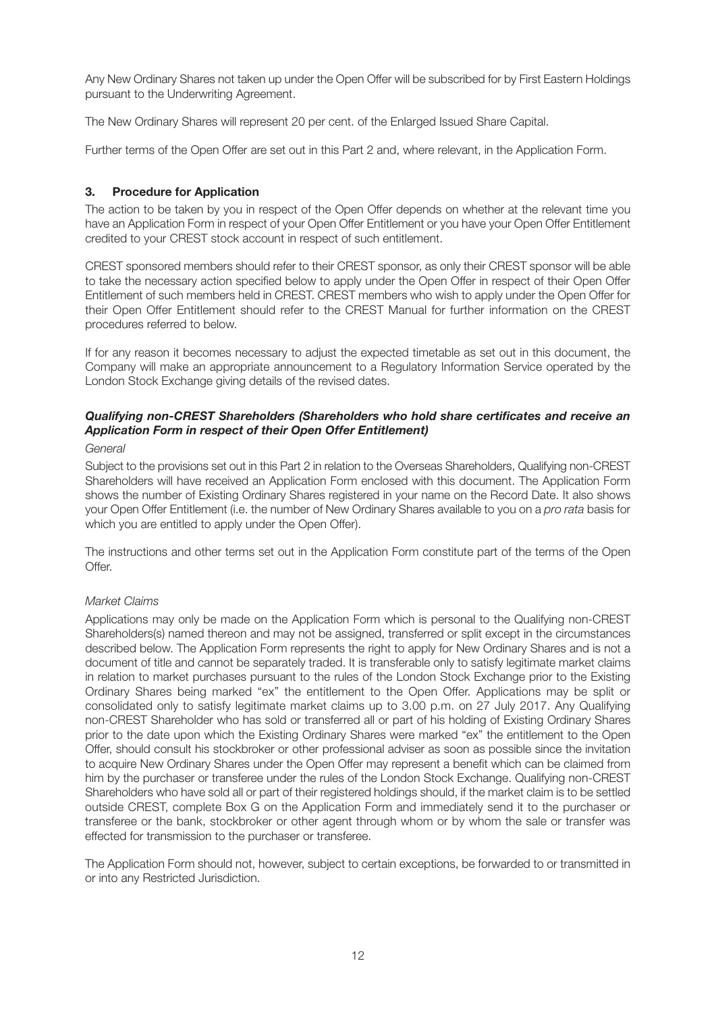Any New Ordinary Shares not taken up under the Open Offer will be subscribed for by First Eastern Holdings pursuant to the Underwriting Agreement.

The New Ordinary Shares will represent 20 per cent. of the Enlarged Issued Share Capital.

Further terms of the Open Offer are set out in this Part 2 and, where relevant, in the Application Form.

#### **3. Procedure for Application**

The action to be taken by you in respect of the Open Offer depends on whether at the relevant time you have an Application Form in respect of your Open Offer Entitlement or you have your Open Offer Entitlement credited to your CREST stock account in respect of such entitlement.

CREST sponsored members should refer to their CREST sponsor, as only their CREST sponsor will be able to take the necessary action specified below to apply under the Open Offer in respect of their Open Offer Entitlement of such members held in CREST. CREST members who wish to apply under the Open Offer for their Open Offer Entitlement should refer to the CREST Manual for further information on the CREST procedures referred to below.

If for any reason it becomes necessary to adjust the expected timetable as set out in this document, the Company will make an appropriate announcement to a Regulatory Information Service operated by the London Stock Exchange giving details of the revised dates.

## *Qualifying non-CREST Shareholders (Shareholders who hold share certificates and receive an Application Form in respect of their Open Offer Entitlement)*

#### *General*

Subject to the provisions set out in this Part 2 in relation to the Overseas Shareholders, Qualifying non-CREST Shareholders will have received an Application Form enclosed with this document. The Application Form shows the number of Existing Ordinary Shares registered in your name on the Record Date. It also shows your Open Offer Entitlement (i.e. the number of New Ordinary Shares available to you on a *pro rata* basis for which you are entitled to apply under the Open Offer).

The instructions and other terms set out in the Application Form constitute part of the terms of the Open Offer.

#### *Market Claims*

Applications may only be made on the Application Form which is personal to the Qualifying non-CREST Shareholders(s) named thereon and may not be assigned, transferred or split except in the circumstances described below. The Application Form represents the right to apply for New Ordinary Shares and is not a document of title and cannot be separately traded. It is transferable only to satisfy legitimate market claims in relation to market purchases pursuant to the rules of the London Stock Exchange prior to the Existing Ordinary Shares being marked "ex" the entitlement to the Open Offer. Applications may be split or consolidated only to satisfy legitimate market claims up to 3.00 p.m. on 27 July 2017. Any Qualifying non-CREST Shareholder who has sold or transferred all or part of his holding of Existing Ordinary Shares prior to the date upon which the Existing Ordinary Shares were marked "ex" the entitlement to the Open Offer, should consult his stockbroker or other professional adviser as soon as possible since the invitation to acquire New Ordinary Shares under the Open Offer may represent a benefit which can be claimed from him by the purchaser or transferee under the rules of the London Stock Exchange. Qualifying non-CREST Shareholders who have sold all or part of their registered holdings should, if the market claim is to be settled outside CREST, complete Box G on the Application Form and immediately send it to the purchaser or transferee or the bank, stockbroker or other agent through whom or by whom the sale or transfer was effected for transmission to the purchaser or transferee.

The Application Form should not, however, subject to certain exceptions, be forwarded to or transmitted in or into any Restricted Jurisdiction.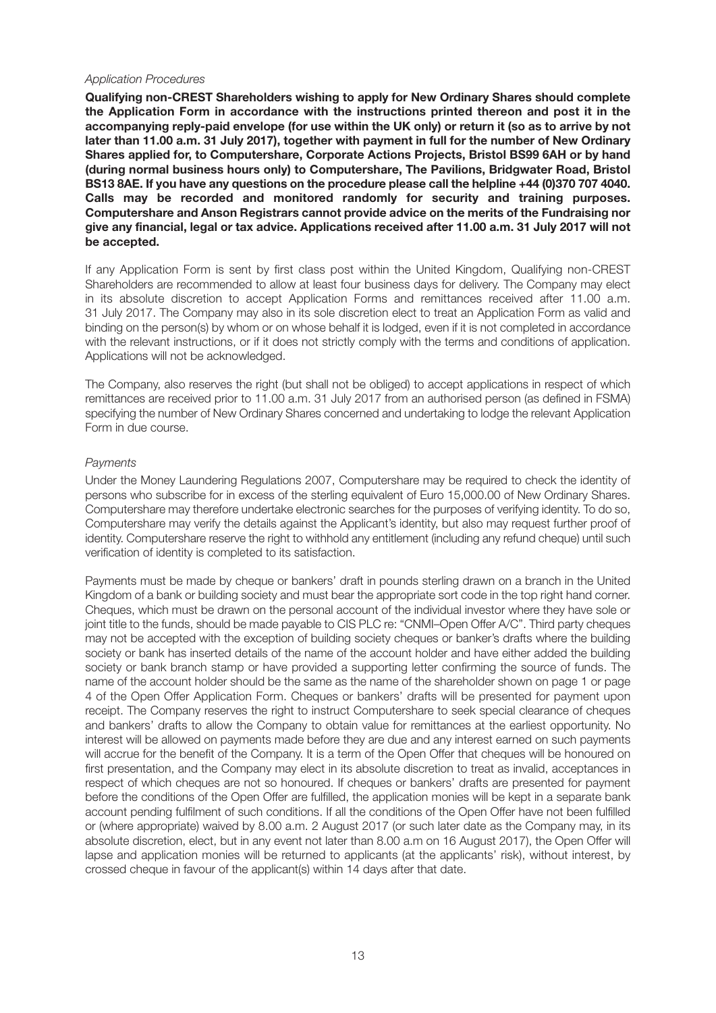#### *Application Procedures*

**Qualifying non-CREST Shareholders wishing to apply for New Ordinary Shares should complete the Application Form in accordance with the instructions printed thereon and post it in the accompanying reply-paid envelope (for use within the UK only) or return it (so as to arrive by not later than 11.00 a.m. 31 July 2017), together with payment in full for the number of New Ordinary Shares applied for, to Computershare, Corporate Actions Projects, Bristol BS99 6AH or by hand (during normal business hours only) to Computershare, The Pavilions, Bridgwater Road, Bristol BS13 8AE. If you have any questions on the procedure please call the helpline +44 (0)370 707 4040. Calls may be recorded and monitored randomly for security and training purposes. Computershare and Anson Registrars cannot provide advice on the merits of the Fundraising nor give any financial, legal or tax advice. Applications received after 11.00 a.m. 31 July 2017 will not be accepted.**

If any Application Form is sent by first class post within the United Kingdom, Qualifying non-CREST Shareholders are recommended to allow at least four business days for delivery. The Company may elect in its absolute discretion to accept Application Forms and remittances received after 11.00 a.m. 31 July 2017. The Company may also in its sole discretion elect to treat an Application Form as valid and binding on the person(s) by whom or on whose behalf it is lodged, even if it is not completed in accordance with the relevant instructions, or if it does not strictly comply with the terms and conditions of application. Applications will not be acknowledged.

The Company, also reserves the right (but shall not be obliged) to accept applications in respect of which remittances are received prior to 11.00 a.m. 31 July 2017 from an authorised person (as defined in FSMA) specifying the number of New Ordinary Shares concerned and undertaking to lodge the relevant Application Form in due course.

#### *Payments*

Under the Money Laundering Regulations 2007, Computershare may be required to check the identity of persons who subscribe for in excess of the sterling equivalent of Euro 15,000.00 of New Ordinary Shares. Computershare may therefore undertake electronic searches for the purposes of verifying identity. To do so, Computershare may verify the details against the Applicant's identity, but also may request further proof of identity. Computershare reserve the right to withhold any entitlement (including any refund cheque) until such verification of identity is completed to its satisfaction.

Payments must be made by cheque or bankers' draft in pounds sterling drawn on a branch in the United Kingdom of a bank or building society and must bear the appropriate sort code in the top right hand corner. Cheques, which must be drawn on the personal account of the individual investor where they have sole or joint title to the funds, should be made payable to CIS PLC re: "CNMI–Open Offer A/C". Third party cheques may not be accepted with the exception of building society cheques or banker's drafts where the building society or bank has inserted details of the name of the account holder and have either added the building society or bank branch stamp or have provided a supporting letter confirming the source of funds. The name of the account holder should be the same as the name of the shareholder shown on page 1 or page 4 of the Open Offer Application Form. Cheques or bankers' drafts will be presented for payment upon receipt. The Company reserves the right to instruct Computershare to seek special clearance of cheques and bankers' drafts to allow the Company to obtain value for remittances at the earliest opportunity. No interest will be allowed on payments made before they are due and any interest earned on such payments will accrue for the benefit of the Company. It is a term of the Open Offer that cheques will be honoured on first presentation, and the Company may elect in its absolute discretion to treat as invalid, acceptances in respect of which cheques are not so honoured. If cheques or bankers' drafts are presented for payment before the conditions of the Open Offer are fulfilled, the application monies will be kept in a separate bank account pending fulfilment of such conditions. If all the conditions of the Open Offer have not been fulfilled or (where appropriate) waived by 8.00 a.m. 2 August 2017 (or such later date as the Company may, in its absolute discretion, elect, but in any event not later than 8.00 a.m on 16 August 2017), the Open Offer will lapse and application monies will be returned to applicants (at the applicants' risk), without interest, by crossed cheque in favour of the applicant(s) within 14 days after that date.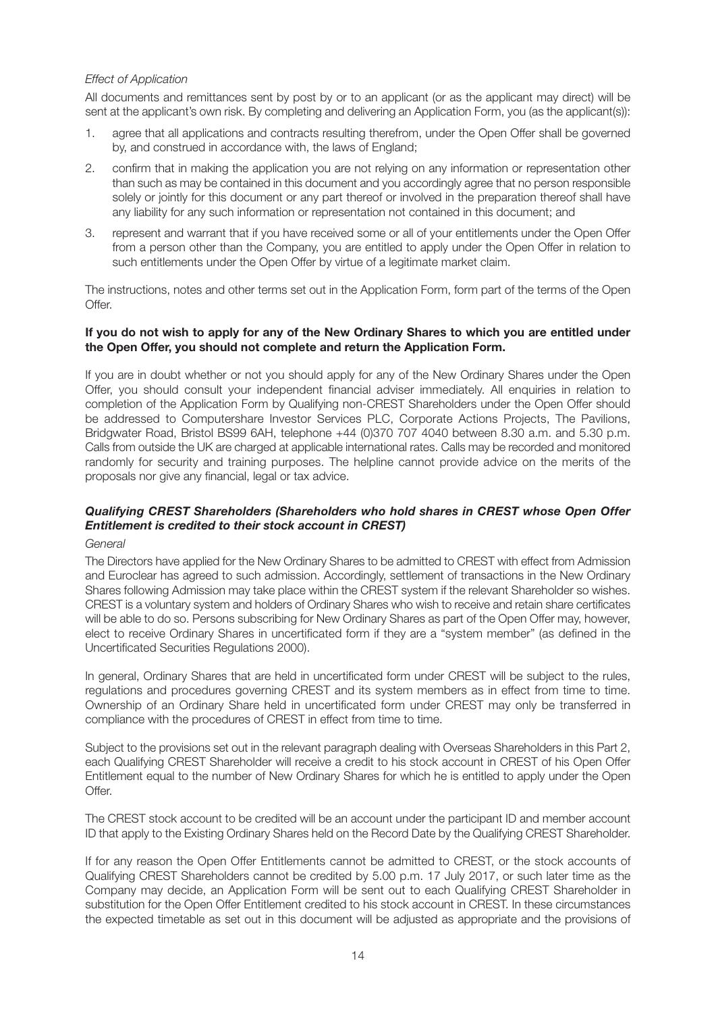#### *Effect of Application*

All documents and remittances sent by post by or to an applicant (or as the applicant may direct) will be sent at the applicant's own risk. By completing and delivering an Application Form, you (as the applicant(s)):

- 1. agree that all applications and contracts resulting therefrom, under the Open Offer shall be governed by, and construed in accordance with, the laws of England;
- 2. confirm that in making the application you are not relying on any information or representation other than such as may be contained in this document and you accordingly agree that no person responsible solely or jointly for this document or any part thereof or involved in the preparation thereof shall have any liability for any such information or representation not contained in this document; and
- 3. represent and warrant that if you have received some or all of your entitlements under the Open Offer from a person other than the Company, you are entitled to apply under the Open Offer in relation to such entitlements under the Open Offer by virtue of a legitimate market claim.

The instructions, notes and other terms set out in the Application Form, form part of the terms of the Open Offer.

#### If you do not wish to apply for any of the New Ordinary Shares to which you are entitled under **the Open Offer, you should not complete and return the Application Form.**

If you are in doubt whether or not you should apply for any of the New Ordinary Shares under the Open Offer, you should consult your independent financial adviser immediately. All enquiries in relation to completion of the Application Form by Qualifying non-CREST Shareholders under the Open Offer should be addressed to Computershare Investor Services PLC, Corporate Actions Projects, The Pavilions, Bridgwater Road, Bristol BS99 6AH, telephone +44 (0)370 707 4040 between 8.30 a.m. and 5.30 p.m. Calls from outside the UK are charged at applicable international rates. Calls may be recorded and monitored randomly for security and training purposes. The helpline cannot provide advice on the merits of the proposals nor give any financial, legal or tax advice.

## *Qualifying CREST Shareholders (Shareholders who hold shares in CREST whose Open Offer Entitlement is credited to their stock account in CREST)*

#### *General*

The Directors have applied for the New Ordinary Shares to be admitted to CREST with effect from Admission and Euroclear has agreed to such admission. Accordingly, settlement of transactions in the New Ordinary Shares following Admission may take place within the CREST system if the relevant Shareholder so wishes. CREST is a voluntary system and holders of Ordinary Shares who wish to receive and retain share certificates will be able to do so. Persons subscribing for New Ordinary Shares as part of the Open Offer may, however, elect to receive Ordinary Shares in uncertificated form if they are a "system member" (as defined in the Uncertificated Securities Regulations 2000).

In general, Ordinary Shares that are held in uncertificated form under CREST will be subject to the rules, regulations and procedures governing CREST and its system members as in effect from time to time. Ownership of an Ordinary Share held in uncertificated form under CREST may only be transferred in compliance with the procedures of CREST in effect from time to time.

Subject to the provisions set out in the relevant paragraph dealing with Overseas Shareholders in this Part 2, each Qualifying CREST Shareholder will receive a credit to his stock account in CREST of his Open Offer Entitlement equal to the number of New Ordinary Shares for which he is entitled to apply under the Open Offer.

The CREST stock account to be credited will be an account under the participant ID and member account ID that apply to the Existing Ordinary Shares held on the Record Date by the Qualifying CREST Shareholder.

If for any reason the Open Offer Entitlements cannot be admitted to CREST, or the stock accounts of Qualifying CREST Shareholders cannot be credited by 5.00 p.m. 17 July 2017, or such later time as the Company may decide, an Application Form will be sent out to each Qualifying CREST Shareholder in substitution for the Open Offer Entitlement credited to his stock account in CREST. In these circumstances the expected timetable as set out in this document will be adjusted as appropriate and the provisions of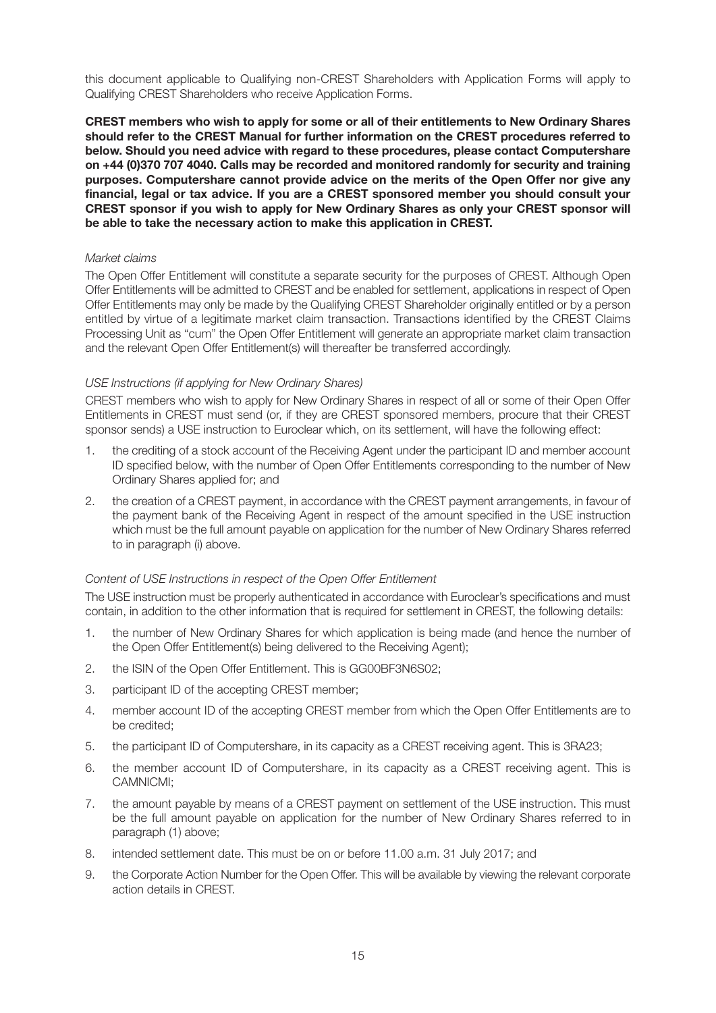this document applicable to Qualifying non-CREST Shareholders with Application Forms will apply to Qualifying CREST Shareholders who receive Application Forms.

**CREST members who wish to apply for some or all of their entitlements to New Ordinary Shares should refer to the CREST Manual for further information on the CREST procedures referred to below. Should you need advice with regard to these procedures, please contact Computershare on +44 (0)370 707 4040. Calls may be recorded and monitored randomly for security and training purposes. Computershare cannot provide advice on the merits of the Open Offer nor give any financial, legal or tax advice. If you are a CREST sponsored member you should consult your CREST sponsor if you wish to apply for New Ordinary Shares as only your CREST sponsor will be able to take the necessary action to make this application in CREST.**

#### *Market claims*

The Open Offer Entitlement will constitute a separate security for the purposes of CREST. Although Open Offer Entitlements will be admitted to CREST and be enabled for settlement, applications in respect of Open Offer Entitlements may only be made by the Qualifying CREST Shareholder originally entitled or by a person entitled by virtue of a legitimate market claim transaction. Transactions identified by the CREST Claims Processing Unit as "cum" the Open Offer Entitlement will generate an appropriate market claim transaction and the relevant Open Offer Entitlement(s) will thereafter be transferred accordingly.

#### *USE Instructions (if applying for New Ordinary Shares)*

CREST members who wish to apply for New Ordinary Shares in respect of all or some of their Open Offer Entitlements in CREST must send (or, if they are CREST sponsored members, procure that their CREST sponsor sends) a USE instruction to Euroclear which, on its settlement, will have the following effect:

- 1. the crediting of a stock account of the Receiving Agent under the participant ID and member account ID specified below, with the number of Open Offer Entitlements corresponding to the number of New Ordinary Shares applied for; and
- 2. the creation of a CREST payment, in accordance with the CREST payment arrangements, in favour of the payment bank of the Receiving Agent in respect of the amount specified in the USE instruction which must be the full amount payable on application for the number of New Ordinary Shares referred to in paragraph (i) above.

#### *Content of USE Instructions in respect of the Open Offer Entitlement*

The USE instruction must be properly authenticated in accordance with Euroclear's specifications and must contain, in addition to the other information that is required for settlement in CREST, the following details:

- 1. the number of New Ordinary Shares for which application is being made (and hence the number of the Open Offer Entitlement(s) being delivered to the Receiving Agent);
- 2. the ISIN of the Open Offer Entitlement. This is GG00BF3N6S02;
- 3. participant ID of the accepting CREST member;
- 4. member account ID of the accepting CREST member from which the Open Offer Entitlements are to be credited;
- 5. the participant ID of Computershare, in its capacity as a CREST receiving agent. This is 3RA23;
- 6. the member account ID of Computershare, in its capacity as a CREST receiving agent. This is CAMNICMI;
- 7. the amount payable by means of a CREST payment on settlement of the USE instruction. This must be the full amount payable on application for the number of New Ordinary Shares referred to in paragraph (1) above;
- 8. intended settlement date. This must be on or before 11.00 a.m. 31 July 2017; and
- 9. the Corporate Action Number for the Open Offer. This will be available by viewing the relevant corporate action details in CREST.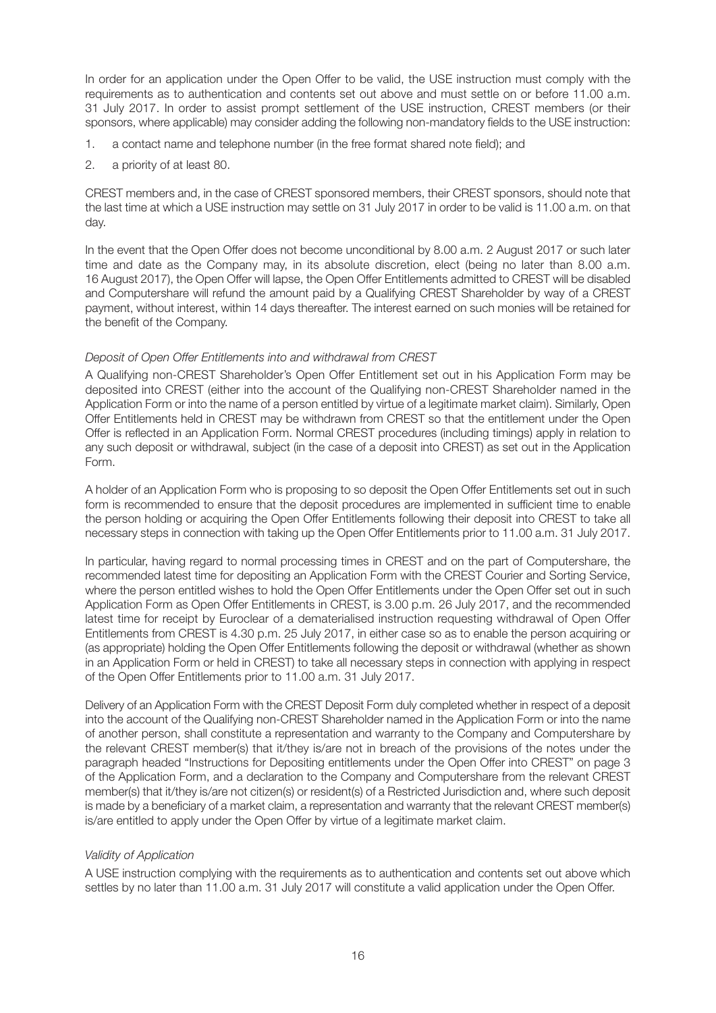In order for an application under the Open Offer to be valid, the USE instruction must comply with the requirements as to authentication and contents set out above and must settle on or before 11.00 a.m. 31 July 2017. In order to assist prompt settlement of the USE instruction, CREST members (or their sponsors, where applicable) may consider adding the following non-mandatory fields to the USE instruction:

- 1. a contact name and telephone number (in the free format shared note field); and
- 2. a priority of at least 80.

CREST members and, in the case of CREST sponsored members, their CREST sponsors, should note that the last time at which a USE instruction may settle on 31 July 2017 in order to be valid is 11.00 a.m. on that day.

In the event that the Open Offer does not become unconditional by 8.00 a.m. 2 August 2017 or such later time and date as the Company may, in its absolute discretion, elect (being no later than 8.00 a.m. 16 August 2017), the Open Offer will lapse, the Open Offer Entitlements admitted to CREST will be disabled and Computershare will refund the amount paid by a Qualifying CREST Shareholder by way of a CREST payment, without interest, within 14 days thereafter. The interest earned on such monies will be retained for the benefit of the Company.

#### *Deposit of Open Offer Entitlements into and withdrawal from CREST*

A Qualifying non-CREST Shareholder's Open Offer Entitlement set out in his Application Form may be deposited into CREST (either into the account of the Qualifying non-CREST Shareholder named in the Application Form or into the name of a person entitled by virtue of a legitimate market claim). Similarly, Open Offer Entitlements held in CREST may be withdrawn from CREST so that the entitlement under the Open Offer is reflected in an Application Form. Normal CREST procedures (including timings) apply in relation to any such deposit or withdrawal, subject (in the case of a deposit into CREST) as set out in the Application Form.

A holder of an Application Form who is proposing to so deposit the Open Offer Entitlements set out in such form is recommended to ensure that the deposit procedures are implemented in sufficient time to enable the person holding or acquiring the Open Offer Entitlements following their deposit into CREST to take all necessary steps in connection with taking up the Open Offer Entitlements prior to 11.00 a.m. 31 July 2017.

In particular, having regard to normal processing times in CREST and on the part of Computershare, the recommended latest time for depositing an Application Form with the CREST Courier and Sorting Service, where the person entitled wishes to hold the Open Offer Entitlements under the Open Offer set out in such Application Form as Open Offer Entitlements in CREST, is 3.00 p.m. 26 July 2017, and the recommended latest time for receipt by Euroclear of a dematerialised instruction requesting withdrawal of Open Offer Entitlements from CREST is 4.30 p.m. 25 July 2017, in either case so as to enable the person acquiring or (as appropriate) holding the Open Offer Entitlements following the deposit or withdrawal (whether as shown in an Application Form or held in CREST) to take all necessary steps in connection with applying in respect of the Open Offer Entitlements prior to 11.00 a.m. 31 July 2017.

Delivery of an Application Form with the CREST Deposit Form duly completed whether in respect of a deposit into the account of the Qualifying non-CREST Shareholder named in the Application Form or into the name of another person, shall constitute a representation and warranty to the Company and Computershare by the relevant CREST member(s) that it/they is/are not in breach of the provisions of the notes under the paragraph headed "Instructions for Depositing entitlements under the Open Offer into CREST" on page 3 of the Application Form, and a declaration to the Company and Computershare from the relevant CREST member(s) that it/they is/are not citizen(s) or resident(s) of a Restricted Jurisdiction and, where such deposit is made by a beneficiary of a market claim, a representation and warranty that the relevant CREST member(s) is/are entitled to apply under the Open Offer by virtue of a legitimate market claim.

#### *Validity of Application*

A USE instruction complying with the requirements as to authentication and contents set out above which settles by no later than 11.00 a.m. 31 July 2017 will constitute a valid application under the Open Offer.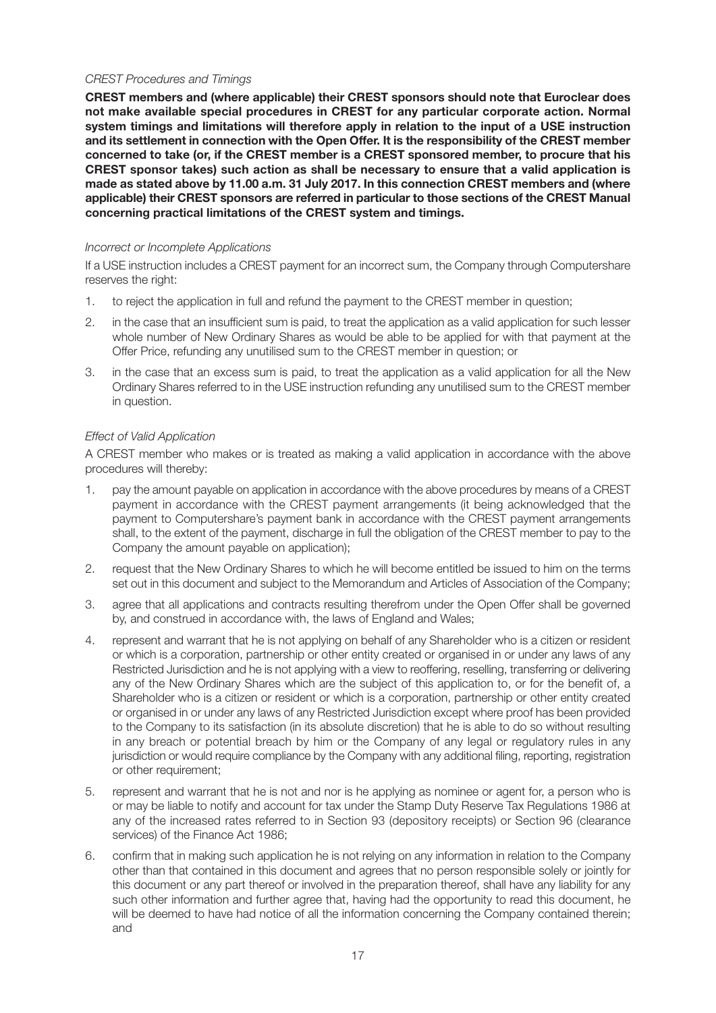#### *CREST Procedures and Timings*

**CREST members and (where applicable) their CREST sponsors should note that Euroclear does not make available special procedures in CREST for any particular corporate action. Normal system timings and limitations will therefore apply in relation to the input of a USE instruction and its settlement in connection with the Open Offer. It is the responsibility of the CREST member concerned to take (or, if the CREST member is a CREST sponsored member, to procure that his CREST sponsor takes) such action as shall be necessary to ensure that a valid application is made as stated above by 11.00 a.m. 31 July 2017. In this connection CREST members and (where applicable) their CREST sponsors are referred in particular to those sections of the CREST Manual concerning practical limitations of the CREST system and timings.**

#### *Incorrect or Incomplete Applications*

If a USE instruction includes a CREST payment for an incorrect sum, the Company through Computershare reserves the right:

- 1. to reject the application in full and refund the payment to the CREST member in question;
- 2. in the case that an insufficient sum is paid, to treat the application as a valid application for such lesser whole number of New Ordinary Shares as would be able to be applied for with that payment at the Offer Price, refunding any unutilised sum to the CREST member in question; or
- 3. in the case that an excess sum is paid, to treat the application as a valid application for all the New Ordinary Shares referred to in the USE instruction refunding any unutilised sum to the CREST member in question.

#### *Effect of Valid Application*

A CREST member who makes or is treated as making a valid application in accordance with the above procedures will thereby:

- 1. pay the amount payable on application in accordance with the above procedures by means of a CREST payment in accordance with the CREST payment arrangements (it being acknowledged that the payment to Computershare's payment bank in accordance with the CREST payment arrangements shall, to the extent of the payment, discharge in full the obligation of the CREST member to pay to the Company the amount payable on application);
- 2. request that the New Ordinary Shares to which he will become entitled be issued to him on the terms set out in this document and subject to the Memorandum and Articles of Association of the Company;
- 3. agree that all applications and contracts resulting therefrom under the Open Offer shall be governed by, and construed in accordance with, the laws of England and Wales;
- 4. represent and warrant that he is not applying on behalf of any Shareholder who is a citizen or resident or which is a corporation, partnership or other entity created or organised in or under any laws of any Restricted Jurisdiction and he is not applying with a view to reoffering, reselling, transferring or delivering any of the New Ordinary Shares which are the subject of this application to, or for the benefit of, a Shareholder who is a citizen or resident or which is a corporation, partnership or other entity created or organised in or under any laws of any Restricted Jurisdiction except where proof has been provided to the Company to its satisfaction (in its absolute discretion) that he is able to do so without resulting in any breach or potential breach by him or the Company of any legal or regulatory rules in any jurisdiction or would require compliance by the Company with any additional filing, reporting, registration or other requirement;
- 5. represent and warrant that he is not and nor is he applying as nominee or agent for, a person who is or may be liable to notify and account for tax under the Stamp Duty Reserve Tax Regulations 1986 at any of the increased rates referred to in Section 93 (depository receipts) or Section 96 (clearance services) of the Finance Act 1986;
- 6. confirm that in making such application he is not relying on any information in relation to the Company other than that contained in this document and agrees that no person responsible solely or jointly for this document or any part thereof or involved in the preparation thereof, shall have any liability for any such other information and further agree that, having had the opportunity to read this document, he will be deemed to have had notice of all the information concerning the Company contained therein; and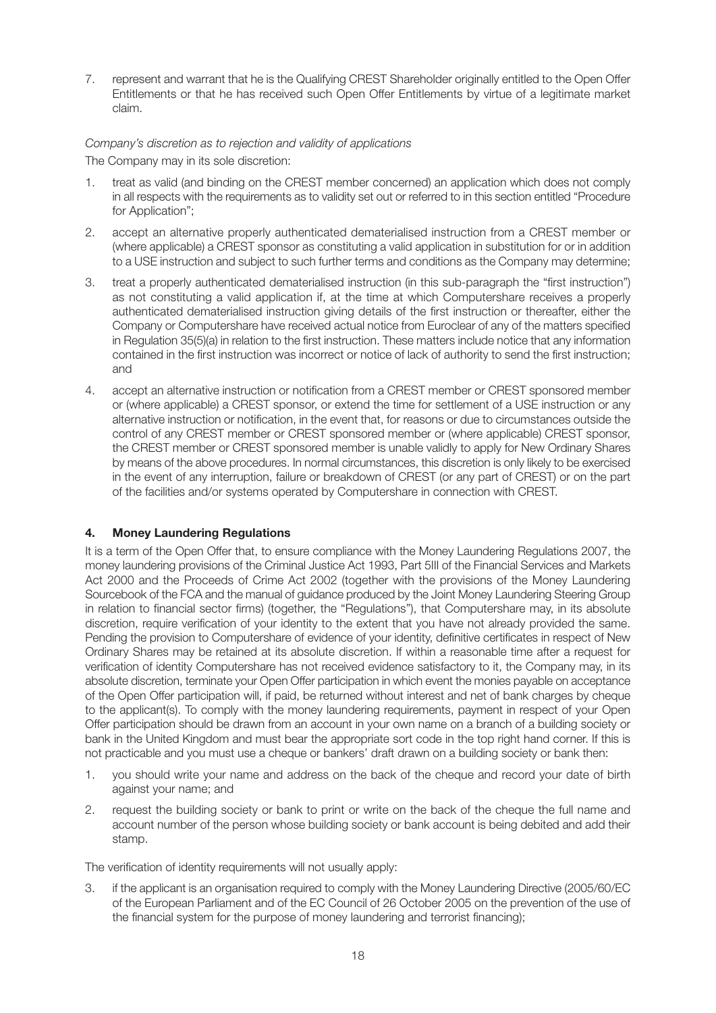7. represent and warrant that he is the Qualifying CREST Shareholder originally entitled to the Open Offer Entitlements or that he has received such Open Offer Entitlements by virtue of a legitimate market claim.

#### *Company's discretion as to rejection and validity of applications*

The Company may in its sole discretion:

- 1. treat as valid (and binding on the CREST member concerned) an application which does not comply in all respects with the requirements as to validity set out or referred to in this section entitled "Procedure for Application";
- 2. accept an alternative properly authenticated dematerialised instruction from a CREST member or (where applicable) a CREST sponsor as constituting a valid application in substitution for or in addition to a USE instruction and subject to such further terms and conditions as the Company may determine;
- 3. treat a properly authenticated dematerialised instruction (in this sub-paragraph the "first instruction") as not constituting a valid application if, at the time at which Computershare receives a properly authenticated dematerialised instruction giving details of the first instruction or thereafter, either the Company or Computershare have received actual notice from Euroclear of any of the matters specified in Regulation 35(5)(a) in relation to the first instruction. These matters include notice that any information contained in the first instruction was incorrect or notice of lack of authority to send the first instruction; and
- 4. accept an alternative instruction or notification from a CREST member or CREST sponsored member or (where applicable) a CREST sponsor, or extend the time for settlement of a USE instruction or any alternative instruction or notification, in the event that, for reasons or due to circumstances outside the control of any CREST member or CREST sponsored member or (where applicable) CREST sponsor, the CREST member or CREST sponsored member is unable validly to apply for New Ordinary Shares by means of the above procedures. In normal circumstances, this discretion is only likely to be exercised in the event of any interruption, failure or breakdown of CREST (or any part of CREST) or on the part of the facilities and/or systems operated by Computershare in connection with CREST.

## **4. Money Laundering Regulations**

It is a term of the Open Offer that, to ensure compliance with the Money Laundering Regulations 2007, the money laundering provisions of the Criminal Justice Act 1993, Part 5III of the Financial Services and Markets Act 2000 and the Proceeds of Crime Act 2002 (together with the provisions of the Money Laundering Sourcebook of the FCA and the manual of guidance produced by the Joint Money Laundering Steering Group in relation to financial sector firms) (together, the "Regulations"), that Computershare may, in its absolute discretion, require verification of your identity to the extent that you have not already provided the same. Pending the provision to Computershare of evidence of your identity, definitive certificates in respect of New Ordinary Shares may be retained at its absolute discretion. If within a reasonable time after a request for verification of identity Computershare has not received evidence satisfactory to it, the Company may, in its absolute discretion, terminate your Open Offer participation in which event the monies payable on acceptance of the Open Offer participation will, if paid, be returned without interest and net of bank charges by cheque to the applicant(s). To comply with the money laundering requirements, payment in respect of your Open Offer participation should be drawn from an account in your own name on a branch of a building society or bank in the United Kingdom and must bear the appropriate sort code in the top right hand corner. If this is not practicable and you must use a cheque or bankers' draft drawn on a building society or bank then:

- 1. you should write your name and address on the back of the cheque and record your date of birth against your name; and
- 2. request the building society or bank to print or write on the back of the cheque the full name and account number of the person whose building society or bank account is being debited and add their stamp.

The verification of identity requirements will not usually apply:

3. if the applicant is an organisation required to comply with the Money Laundering Directive (2005/60/EC of the European Parliament and of the EC Council of 26 October 2005 on the prevention of the use of the financial system for the purpose of money laundering and terrorist financing);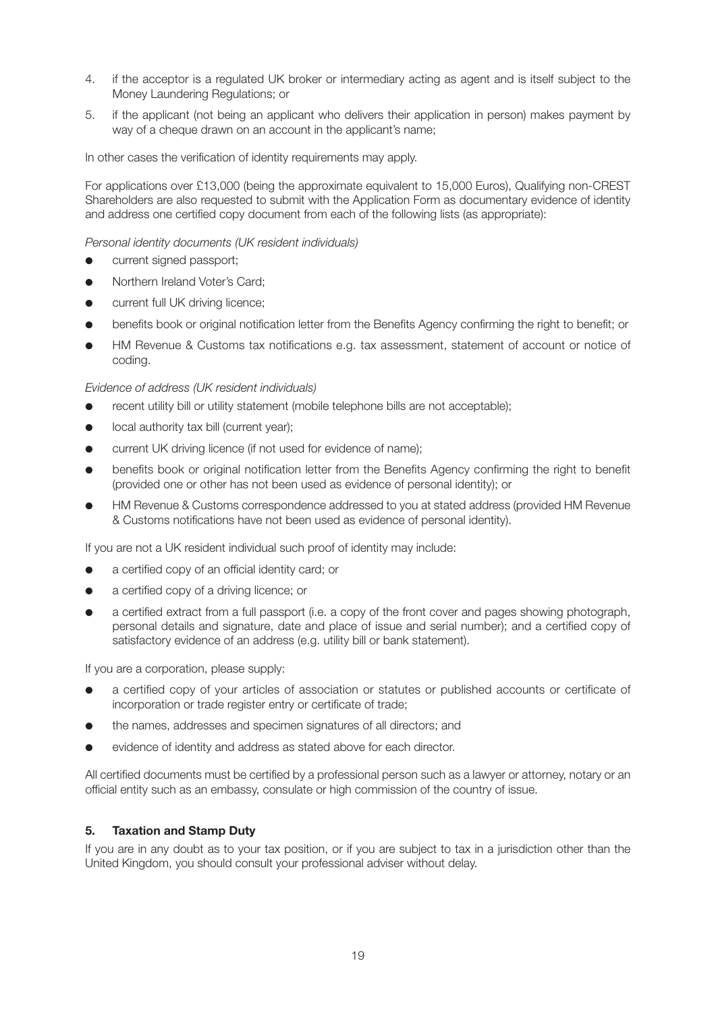- 4. if the acceptor is a regulated UK broker or intermediary acting as agent and is itself subject to the Money Laundering Regulations; or
- 5. if the applicant (not being an applicant who delivers their application in person) makes payment by way of a cheque drawn on an account in the applicant's name:

In other cases the verification of identity requirements may apply.

For applications over £13,000 (being the approximate equivalent to 15,000 Euros), Qualifying non-CREST Shareholders are also requested to submit with the Application Form as documentary evidence of identity and address one certified copy document from each of the following lists (as appropriate):

*Personal identity documents (UK resident individuals)*

- current signed passport:
- **●** Northern Ireland Voter's Card;
- **●** current full UK driving licence;
- **●** benefits book or original notification letter from the Benefits Agency confirming the right to benefit; or
- **●** HM Revenue & Customs tax notifications e.g. tax assessment, statement of account or notice of coding.

*Evidence of address (UK resident individuals)*

- recent utility bill or utility statement (mobile telephone bills are not acceptable);
- **●** local authority tax bill (current year);
- current UK driving licence (if not used for evidence of name);
- **●** benefits book or original notification letter from the Benefits Agency confirming the right to benefit (provided one or other has not been used as evidence of personal identity); or
- **●** HM Revenue & Customs correspondence addressed to you at stated address (provided HM Revenue & Customs notifications have not been used as evidence of personal identity).

If you are not a UK resident individual such proof of identity may include:

- **●** a certified copy of an official identity card; or
- a certified copy of a driving licence; or
- a certified extract from a full passport (i.e. a copy of the front cover and pages showing photograph, personal details and signature, date and place of issue and serial number); and a certified copy of satisfactory evidence of an address (e.g. utility bill or bank statement).

If you are a corporation, please supply:

- **●** a certified copy of your articles of association or statutes or published accounts or certificate of incorporation or trade register entry or certificate of trade;
- **●** the names, addresses and specimen signatures of all directors; and
- evidence of identity and address as stated above for each director.

All certified documents must be certified by a professional person such as a lawyer or attorney, notary or an official entity such as an embassy, consulate or high commission of the country of issue.

#### **5. Taxation and Stamp Duty**

If you are in any doubt as to your tax position, or if you are subject to tax in a jurisdiction other than the United Kingdom, you should consult your professional adviser without delay.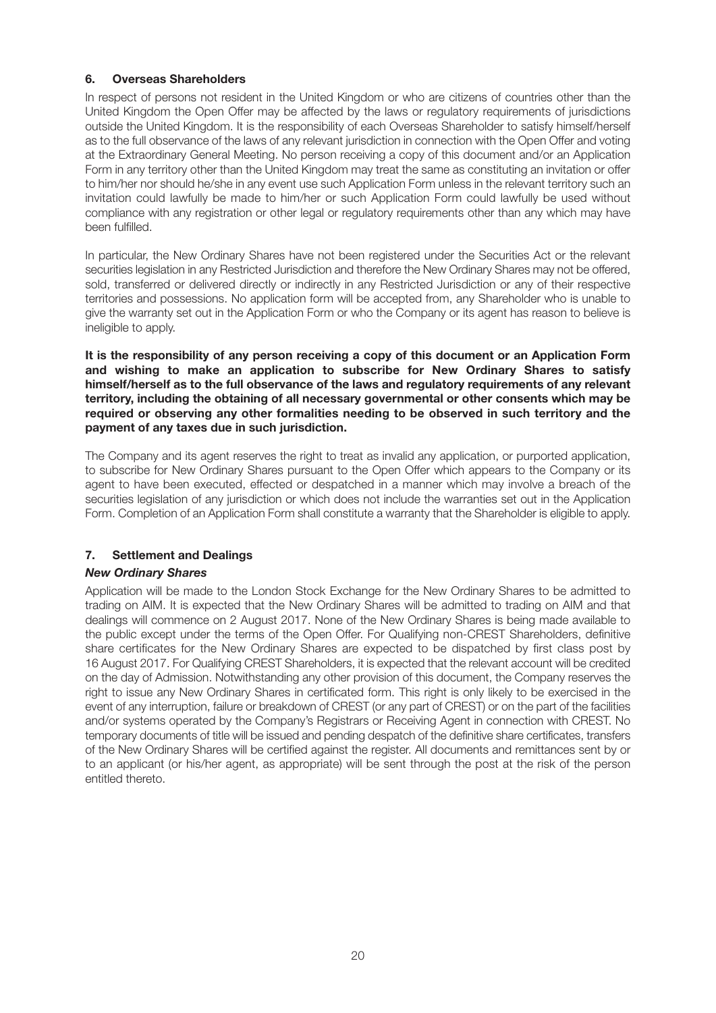## **6. Overseas Shareholders**

In respect of persons not resident in the United Kingdom or who are citizens of countries other than the United Kingdom the Open Offer may be affected by the laws or regulatory requirements of jurisdictions outside the United Kingdom. It is the responsibility of each Overseas Shareholder to satisfy himself/herself as to the full observance of the laws of any relevant jurisdiction in connection with the Open Offer and voting at the Extraordinary General Meeting. No person receiving a copy of this document and/or an Application Form in any territory other than the United Kingdom may treat the same as constituting an invitation or offer to him/her nor should he/she in any event use such Application Form unless in the relevant territory such an invitation could lawfully be made to him/her or such Application Form could lawfully be used without compliance with any registration or other legal or regulatory requirements other than any which may have been fulfilled.

In particular, the New Ordinary Shares have not been registered under the Securities Act or the relevant securities legislation in any Restricted Jurisdiction and therefore the New Ordinary Shares may not be offered, sold, transferred or delivered directly or indirectly in any Restricted Jurisdiction or any of their respective territories and possessions. No application form will be accepted from, any Shareholder who is unable to give the warranty set out in the Application Form or who the Company or its agent has reason to believe is ineligible to apply.

**It is the responsibility of any person receiving a copy of this document or an Application Form and wishing to make an application to subscribe for New Ordinary Shares to satisfy himself/herself as to the full observance of the laws and regulatory requirements of any relevant territory, including the obtaining of all necessary governmental or other consents which may be required or observing any other formalities needing to be observed in such territory and the payment of any taxes due in such jurisdiction.**

The Company and its agent reserves the right to treat as invalid any application, or purported application, to subscribe for New Ordinary Shares pursuant to the Open Offer which appears to the Company or its agent to have been executed, effected or despatched in a manner which may involve a breach of the securities legislation of any jurisdiction or which does not include the warranties set out in the Application Form. Completion of an Application Form shall constitute a warranty that the Shareholder is eligible to apply.

## **7. Settlement and Dealings**

#### *New Ordinary Shares*

Application will be made to the London Stock Exchange for the New Ordinary Shares to be admitted to trading on AIM. It is expected that the New Ordinary Shares will be admitted to trading on AIM and that dealings will commence on 2 August 2017. None of the New Ordinary Shares is being made available to the public except under the terms of the Open Offer. For Qualifying non-CREST Shareholders, definitive share certificates for the New Ordinary Shares are expected to be dispatched by first class post by 16 August 2017. For Qualifying CREST Shareholders, it is expected that the relevant account will be credited on the day of Admission. Notwithstanding any other provision of this document, the Company reserves the right to issue any New Ordinary Shares in certificated form. This right is only likely to be exercised in the event of any interruption, failure or breakdown of CREST (or any part of CREST) or on the part of the facilities and/or systems operated by the Company's Registrars or Receiving Agent in connection with CREST. No temporary documents of title will be issued and pending despatch of the definitive share certificates, transfers of the New Ordinary Shares will be certified against the register. All documents and remittances sent by or to an applicant (or his/her agent, as appropriate) will be sent through the post at the risk of the person entitled thereto.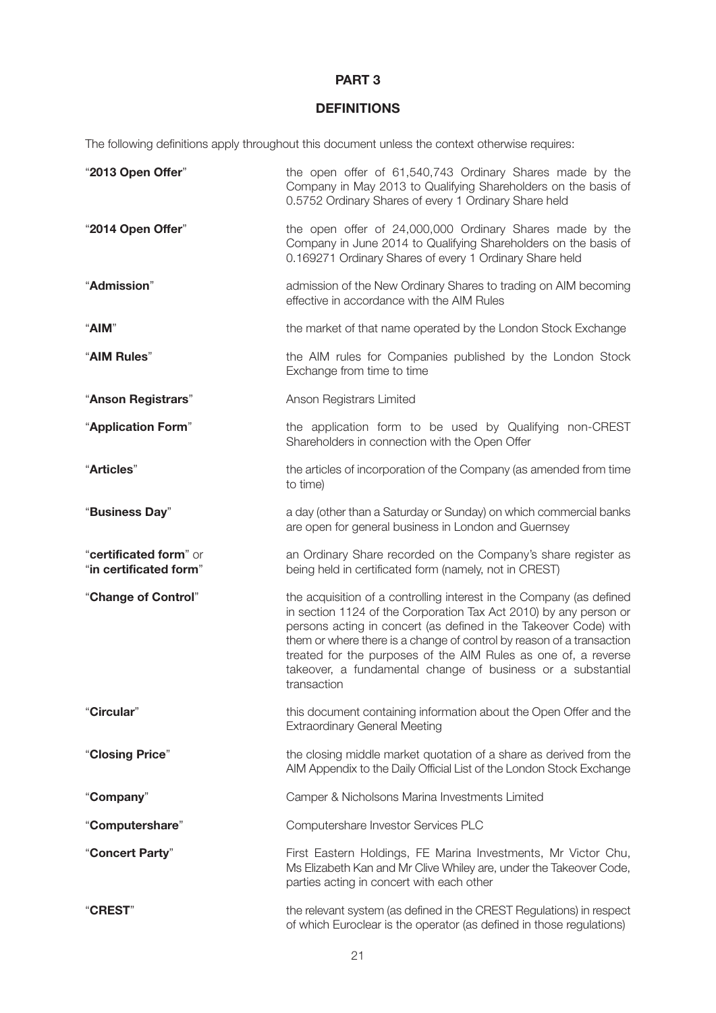## **PART 3**

# **DEFINITIONS**

The following definitions apply throughout this document unless the context otherwise requires:

| "2013 Open Offer"      | the open offer of 61,540,743 Ordinary Shares made by the<br>Company in May 2013 to Qualifying Shareholders on the basis of<br>0.5752 Ordinary Shares of every 1 Ordinary Share held                                                                                                                                                                                                                                                    |
|------------------------|----------------------------------------------------------------------------------------------------------------------------------------------------------------------------------------------------------------------------------------------------------------------------------------------------------------------------------------------------------------------------------------------------------------------------------------|
| "2014 Open Offer"      | the open offer of 24,000,000 Ordinary Shares made by the<br>Company in June 2014 to Qualifying Shareholders on the basis of<br>0.169271 Ordinary Shares of every 1 Ordinary Share held                                                                                                                                                                                                                                                 |
| "Admission"            | admission of the New Ordinary Shares to trading on AIM becoming<br>effective in accordance with the AIM Rules                                                                                                                                                                                                                                                                                                                          |
| "AIM"                  | the market of that name operated by the London Stock Exchange                                                                                                                                                                                                                                                                                                                                                                          |
| "AIM Rules"            | the AIM rules for Companies published by the London Stock<br>Exchange from time to time                                                                                                                                                                                                                                                                                                                                                |
| "Anson Registrars"     | Anson Registrars Limited                                                                                                                                                                                                                                                                                                                                                                                                               |
| "Application Form"     | the application form to be used by Qualifying non-CREST<br>Shareholders in connection with the Open Offer                                                                                                                                                                                                                                                                                                                              |
| "Articles"             | the articles of incorporation of the Company (as amended from time<br>to time)                                                                                                                                                                                                                                                                                                                                                         |
| "Business Day"         | a day (other than a Saturday or Sunday) on which commercial banks<br>are open for general business in London and Guernsey                                                                                                                                                                                                                                                                                                              |
| "certificated form" or |                                                                                                                                                                                                                                                                                                                                                                                                                                        |
| "in certificated form" | an Ordinary Share recorded on the Company's share register as<br>being held in certificated form (namely, not in CREST)                                                                                                                                                                                                                                                                                                                |
| "Change of Control"    | the acquisition of a controlling interest in the Company (as defined<br>in section 1124 of the Corporation Tax Act 2010) by any person or<br>persons acting in concert (as defined in the Takeover Code) with<br>them or where there is a change of control by reason of a transaction<br>treated for the purposes of the AIM Rules as one of, a reverse<br>takeover, a fundamental change of business or a substantial<br>transaction |
| "Circular"             | this document containing information about the Open Offer and the<br><b>Extraordinary General Meeting</b>                                                                                                                                                                                                                                                                                                                              |
| "Closing Price"        | the closing middle market quotation of a share as derived from the<br>AIM Appendix to the Daily Official List of the London Stock Exchange                                                                                                                                                                                                                                                                                             |
| "Company"              | Camper & Nicholsons Marina Investments Limited                                                                                                                                                                                                                                                                                                                                                                                         |
| "Computershare"        | Computershare Investor Services PLC                                                                                                                                                                                                                                                                                                                                                                                                    |
| "Concert Party"        | First Eastern Holdings, FE Marina Investments, Mr Victor Chu,<br>Ms Elizabeth Kan and Mr Clive Whiley are, under the Takeover Code,<br>parties acting in concert with each other                                                                                                                                                                                                                                                       |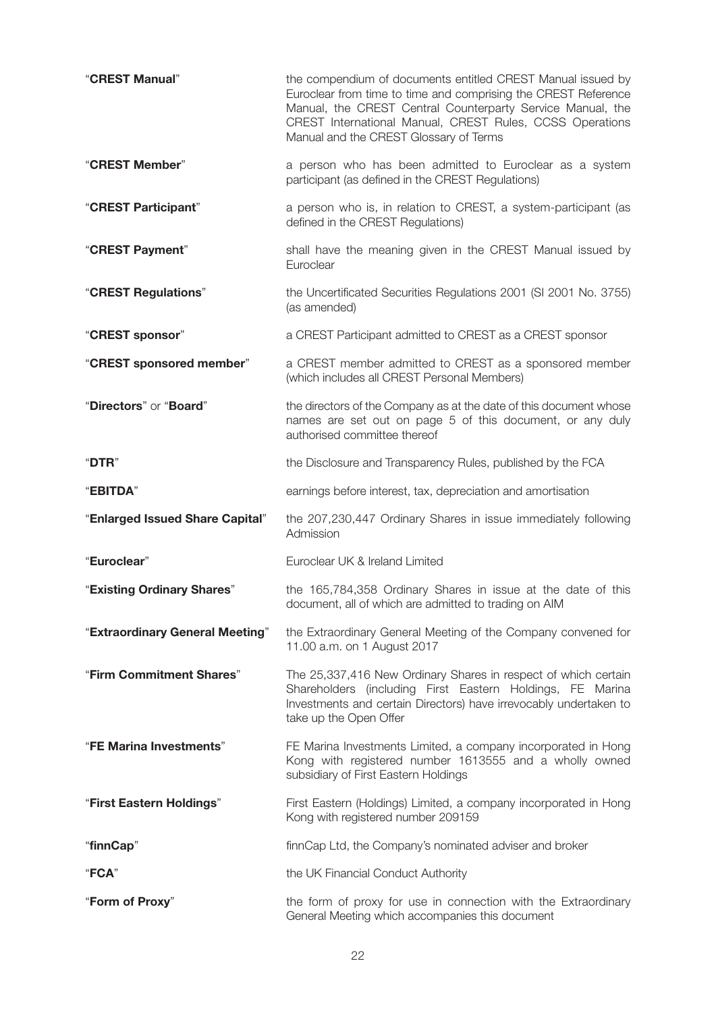| "CREST Manual"                  | the compendium of documents entitled CREST Manual issued by<br>Euroclear from time to time and comprising the CREST Reference<br>Manual, the CREST Central Counterparty Service Manual, the<br>CREST International Manual, CREST Rules, CCSS Operations<br>Manual and the CREST Glossary of Terms |
|---------------------------------|---------------------------------------------------------------------------------------------------------------------------------------------------------------------------------------------------------------------------------------------------------------------------------------------------|
| "CREST Member"                  | a person who has been admitted to Euroclear as a system<br>participant (as defined in the CREST Regulations)                                                                                                                                                                                      |
| "CREST Participant"             | a person who is, in relation to CREST, a system-participant (as<br>defined in the CREST Regulations)                                                                                                                                                                                              |
| "CREST Payment"                 | shall have the meaning given in the CREST Manual issued by<br>Euroclear                                                                                                                                                                                                                           |
| "CREST Regulations"             | the Uncertificated Securities Regulations 2001 (SI 2001 No. 3755)<br>(as amended)                                                                                                                                                                                                                 |
| "CREST sponsor"                 | a CREST Participant admitted to CREST as a CREST sponsor                                                                                                                                                                                                                                          |
| "CREST sponsored member"        | a CREST member admitted to CREST as a sponsored member<br>(which includes all CREST Personal Members)                                                                                                                                                                                             |
| "Directors" or "Board"          | the directors of the Company as at the date of this document whose<br>names are set out on page 5 of this document, or any duly<br>authorised committee thereof                                                                                                                                   |
| "DTR"                           | the Disclosure and Transparency Rules, published by the FCA                                                                                                                                                                                                                                       |
| "EBITDA"                        | earnings before interest, tax, depreciation and amortisation                                                                                                                                                                                                                                      |
| "Enlarged Issued Share Capital" | the 207,230,447 Ordinary Shares in issue immediately following<br>Admission                                                                                                                                                                                                                       |
| "Euroclear"                     | Euroclear UK & Ireland Limited                                                                                                                                                                                                                                                                    |
| "Existing Ordinary Shares"      | the 165,784,358 Ordinary Shares in issue at the date of this<br>document, all of which are admitted to trading on AIM                                                                                                                                                                             |
| "Extraordinary General Meeting" | the Extraordinary General Meeting of the Company convened for<br>11.00 a.m. on 1 August 2017                                                                                                                                                                                                      |
| "Firm Commitment Shares"        | The 25,337,416 New Ordinary Shares in respect of which certain<br>Shareholders (including First Eastern Holdings, FE Marina<br>Investments and certain Directors) have irrevocably undertaken to<br>take up the Open Offer                                                                        |
| "FE Marina Investments"         | FE Marina Investments Limited, a company incorporated in Hong<br>Kong with registered number 1613555 and a wholly owned<br>subsidiary of First Eastern Holdings                                                                                                                                   |
| "First Eastern Holdings"        | First Eastern (Holdings) Limited, a company incorporated in Hong<br>Kong with registered number 209159                                                                                                                                                                                            |
| "finnCap"                       | finnCap Ltd, the Company's nominated adviser and broker                                                                                                                                                                                                                                           |
| "FCA"                           | the UK Financial Conduct Authority                                                                                                                                                                                                                                                                |
| "Form of Proxy"                 | the form of proxy for use in connection with the Extraordinary<br>General Meeting which accompanies this document                                                                                                                                                                                 |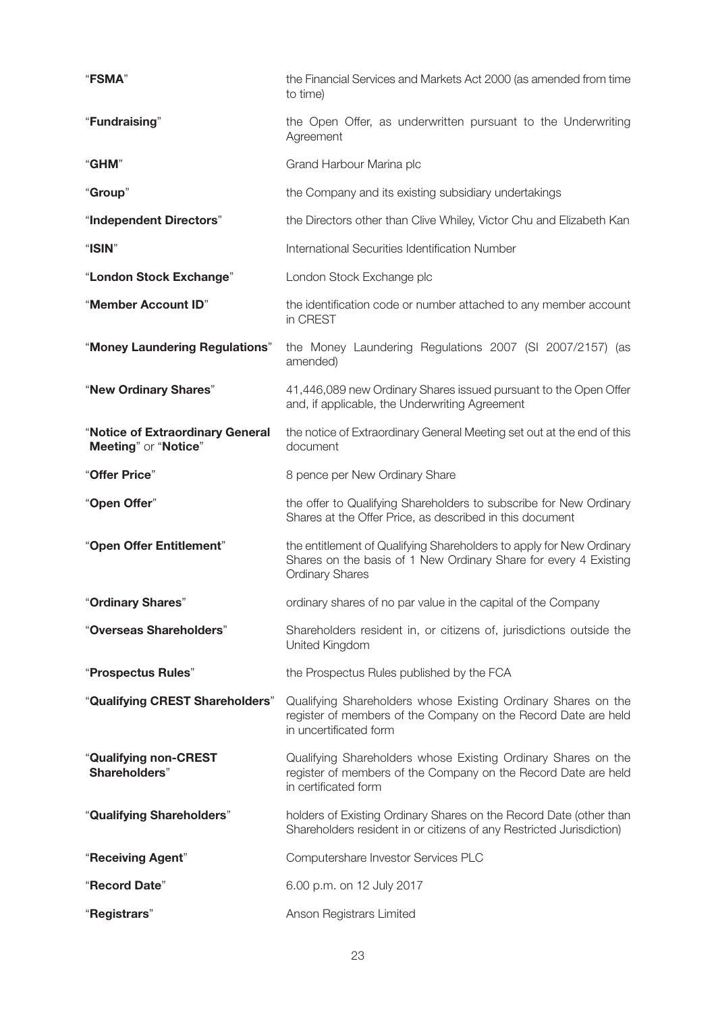| "FSMA"                                                   | the Financial Services and Markets Act 2000 (as amended from time<br>to time)                                                                                      |
|----------------------------------------------------------|--------------------------------------------------------------------------------------------------------------------------------------------------------------------|
| "Fundraising"                                            | the Open Offer, as underwritten pursuant to the Underwriting<br>Agreement                                                                                          |
| "GHM"                                                    | Grand Harbour Marina plc                                                                                                                                           |
| "Group"                                                  | the Company and its existing subsidiary undertakings                                                                                                               |
| "Independent Directors"                                  | the Directors other than Clive Whiley, Victor Chu and Elizabeth Kan                                                                                                |
| "ISIN"                                                   | International Securities Identification Number                                                                                                                     |
| "London Stock Exchange"                                  | London Stock Exchange plc                                                                                                                                          |
| "Member Account ID"                                      | the identification code or number attached to any member account<br>in CREST                                                                                       |
| "Money Laundering Regulations"                           | the Money Laundering Regulations 2007 (SI 2007/2157) (as<br>amended)                                                                                               |
| "New Ordinary Shares"                                    | 41,446,089 new Ordinary Shares issued pursuant to the Open Offer<br>and, if applicable, the Underwriting Agreement                                                 |
| "Notice of Extraordinary General<br>Meeting" or "Notice" | the notice of Extraordinary General Meeting set out at the end of this<br>document                                                                                 |
| "Offer Price"                                            | 8 pence per New Ordinary Share                                                                                                                                     |
| "Open Offer"                                             | the offer to Qualifying Shareholders to subscribe for New Ordinary<br>Shares at the Offer Price, as described in this document                                     |
| "Open Offer Entitlement"                                 | the entitlement of Qualifying Shareholders to apply for New Ordinary<br>Shares on the basis of 1 New Ordinary Share for every 4 Existing<br><b>Ordinary Shares</b> |
| "Ordinary Shares"                                        | ordinary shares of no par value in the capital of the Company                                                                                                      |
| "Overseas Shareholders"                                  | Shareholders resident in, or citizens of, jurisdictions outside the<br>United Kingdom                                                                              |
| "Prospectus Rules"                                       | the Prospectus Rules published by the FCA                                                                                                                          |
| "Qualifying CREST Shareholders"                          | Qualifying Shareholders whose Existing Ordinary Shares on the<br>register of members of the Company on the Record Date are held<br>in uncertificated form          |
| "Qualifying non-CREST<br>Shareholders"                   | Qualifying Shareholders whose Existing Ordinary Shares on the<br>register of members of the Company on the Record Date are held<br>in certificated form            |
| "Qualifying Shareholders"                                | holders of Existing Ordinary Shares on the Record Date (other than<br>Shareholders resident in or citizens of any Restricted Jurisdiction)                         |
| "Receiving Agent"                                        | Computershare Investor Services PLC                                                                                                                                |
| "Record Date"                                            | 6.00 p.m. on 12 July 2017                                                                                                                                          |
| "Registrars"                                             | Anson Registrars Limited                                                                                                                                           |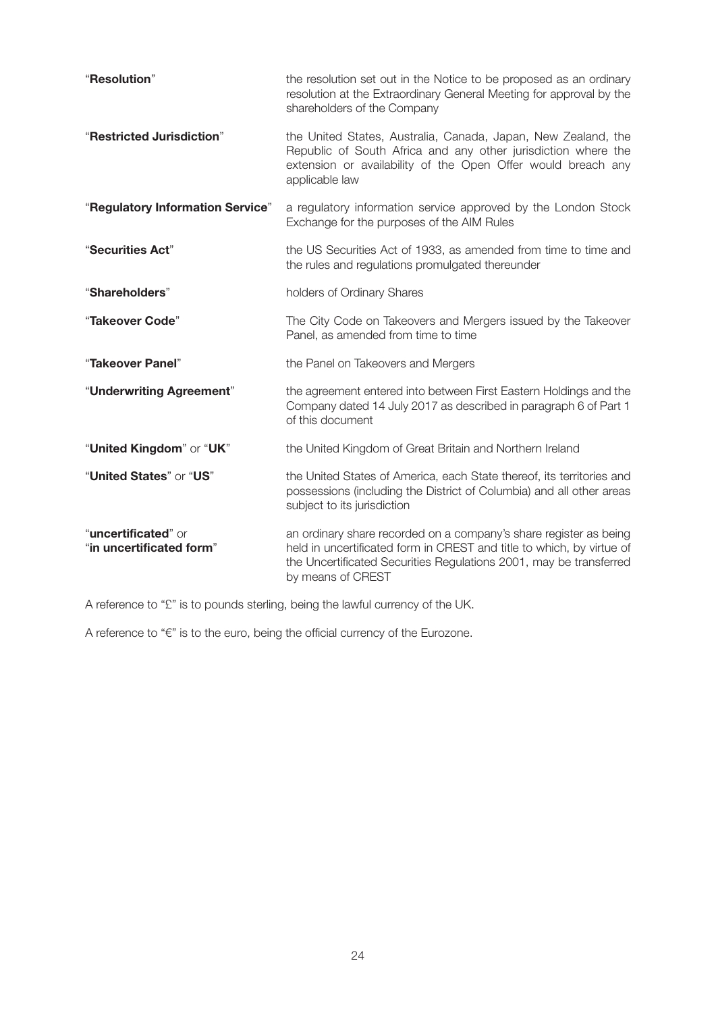| "Resolution"                                    | the resolution set out in the Notice to be proposed as an ordinary<br>resolution at the Extraordinary General Meeting for approval by the<br>shareholders of the Company                                                              |
|-------------------------------------------------|---------------------------------------------------------------------------------------------------------------------------------------------------------------------------------------------------------------------------------------|
| "Restricted Jurisdiction"                       | the United States, Australia, Canada, Japan, New Zealand, the<br>Republic of South Africa and any other jurisdiction where the<br>extension or availability of the Open Offer would breach any<br>applicable law                      |
| "Regulatory Information Service"                | a regulatory information service approved by the London Stock<br>Exchange for the purposes of the AIM Rules                                                                                                                           |
| "Securities Act"                                | the US Securities Act of 1933, as amended from time to time and<br>the rules and regulations promulgated thereunder                                                                                                                   |
| "Shareholders"                                  | holders of Ordinary Shares                                                                                                                                                                                                            |
| "Takeover Code"                                 | The City Code on Takeovers and Mergers issued by the Takeover<br>Panel, as amended from time to time                                                                                                                                  |
| "Takeover Panel"                                | the Panel on Takeovers and Mergers                                                                                                                                                                                                    |
| "Underwriting Agreement"                        | the agreement entered into between First Eastern Holdings and the<br>Company dated 14 July 2017 as described in paragraph 6 of Part 1<br>of this document                                                                             |
| "United Kingdom" or "UK"                        | the United Kingdom of Great Britain and Northern Ireland                                                                                                                                                                              |
| "United States" or "US"                         | the United States of America, each State thereof, its territories and<br>possessions (including the District of Columbia) and all other areas<br>subject to its jurisdiction                                                          |
| "uncertificated" or<br>"in uncertificated form" | an ordinary share recorded on a company's share register as being<br>held in uncertificated form in CREST and title to which, by virtue of<br>the Uncertificated Securities Regulations 2001, may be transferred<br>by means of CREST |

A reference to "£" is to pounds sterling, being the lawful currency of the UK.

A reference to "€" is to the euro, being the official currency of the Eurozone.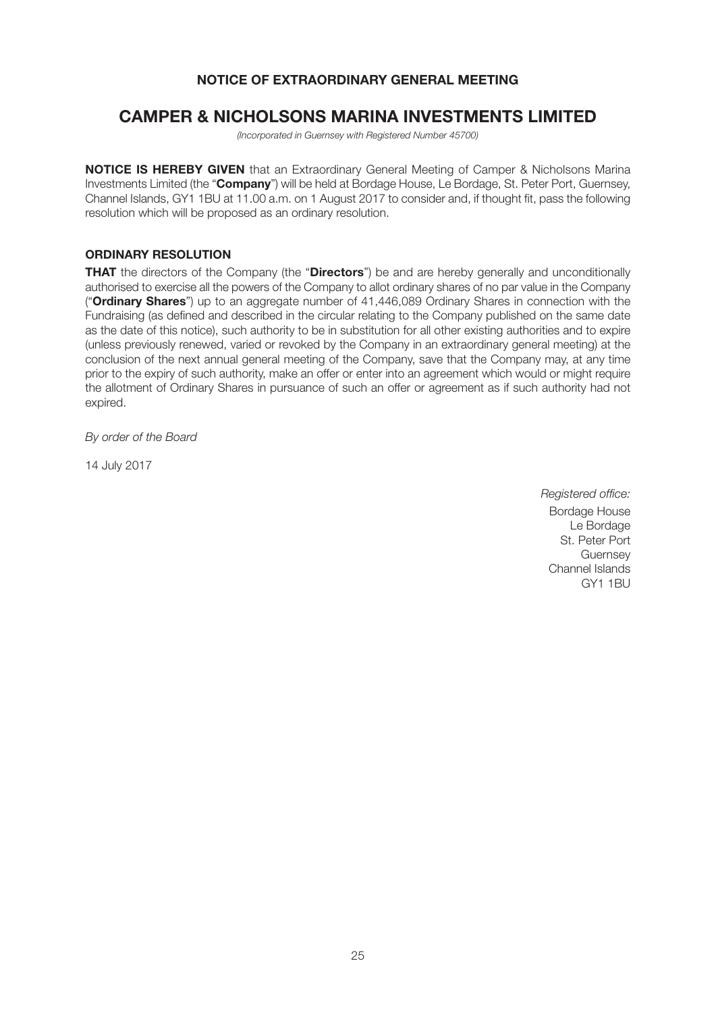## **NOTICE OF EXTRAORDINARY GENERAL MEETING**

# **CAMPER & NICHOLSONS MARINA INVESTMENTS LIMITED**

*(Incorporated in Guernsey with Registered Number 45700)*

**NOTICE IS HEREBY GIVEN** that an Extraordinary General Meeting of Camper & Nicholsons Marina Investments Limited (the "**Company**") will be held at Bordage House, Le Bordage, St. Peter Port, Guernsey, Channel Islands, GY1 1BU at 11.00 a.m. on 1 August 2017 to consider and, if thought fit, pass the following resolution which will be proposed as an ordinary resolution.

## **ORDINARY RESOLUTION**

**THAT** the directors of the Company (the "**Directors**") be and are hereby generally and unconditionally authorised to exercise all the powers of the Company to allot ordinary shares of no par value in the Company ("**Ordinary Shares**") up to an aggregate number of 41,446,089 Ordinary Shares in connection with the Fundraising (as defined and described in the circular relating to the Company published on the same date as the date of this notice), such authority to be in substitution for all other existing authorities and to expire (unless previously renewed, varied or revoked by the Company in an extraordinary general meeting) at the conclusion of the next annual general meeting of the Company, save that the Company may, at any time prior to the expiry of such authority, make an offer or enter into an agreement which would or might require the allotment of Ordinary Shares in pursuance of such an offer or agreement as if such authority had not expired.

*By order of the Board*

14 July 2017

*Registered office:* Bordage House Le Bordage St. Peter Port **Guernsey** Channel Islands GY1 1BU